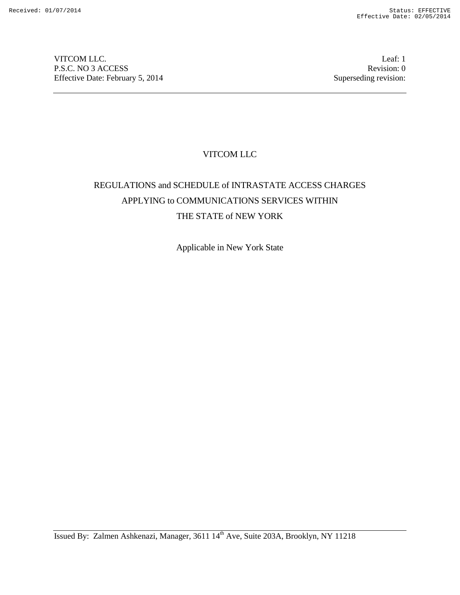VITCOM LLC.<br>
P.S.C. NO 3 ACCESS Revision: 0 P.S.C. NO 3 ACCESS Effective Date: February 5, 2014 Superseding revision:

# VITCOM LLC

# REGULATIONS and SCHEDULE of INTRASTATE ACCESS CHARGES APPLYING to COMMUNICATIONS SERVICES WITHIN THE STATE of NEW YORK

Applicable in New York State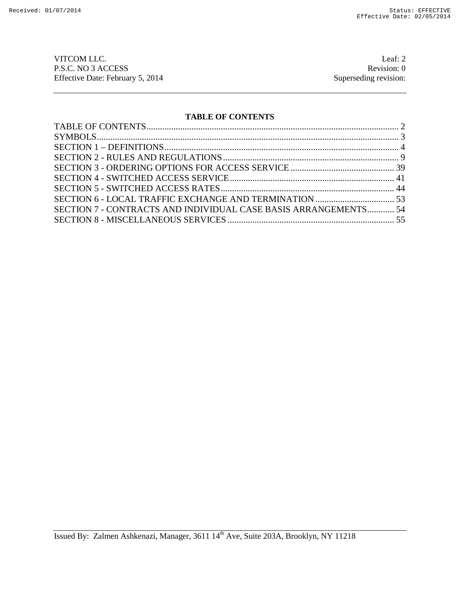VITCOM LLC.<br>
P.S.C. NO 3 ACCESS<br>
Revision: 0 P.S.C. NO 3 ACCESS Revision: 0<br>Effective Date: February 5, 2014 Superseding revision: 0 Effective Date: February 5, 2014

# **TABLE OF CONTENTS**

| SECTION 7 - CONTRACTS AND INDIVIDUAL CASE BASIS ARRANGEMENTS 54 |  |
|-----------------------------------------------------------------|--|
|                                                                 |  |
|                                                                 |  |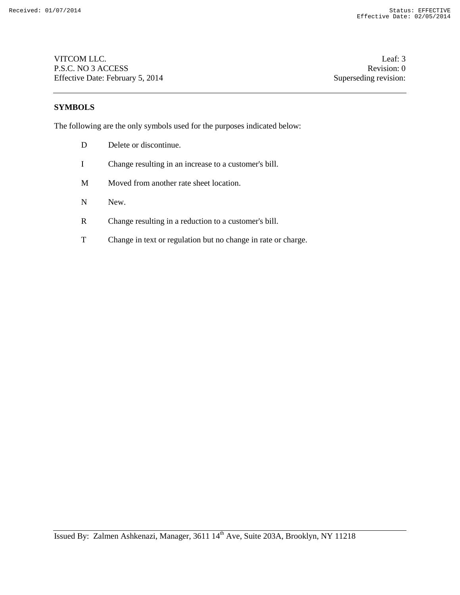VITCOM LLC. Leaf: 3 P.S.C. NO 3 ACCESS Revision: 0 Effective Date: February 5, 2014 Superseding revision:

# **SYMBOLS**

The following are the only symbols used for the purposes indicated below:

- D Delete or discontinue.
- I Change resulting in an increase to a customer's bill.
- M Moved from another rate sheet location.
- N New.
- R Change resulting in a reduction to a customer's bill.
- T Change in text or regulation but no change in rate or charge.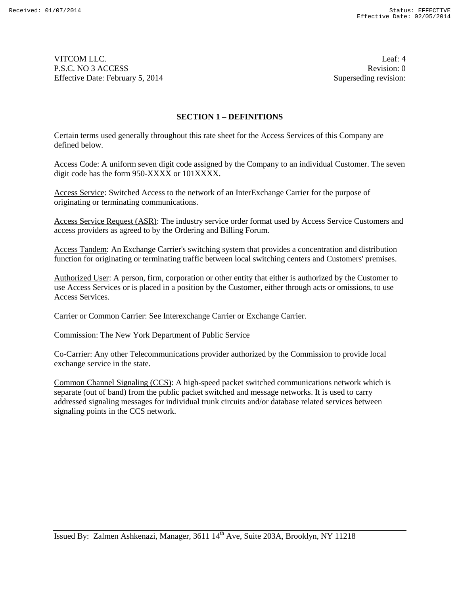VITCOM LLC. Leaf: 4 P.S.C. NO 3 ACCESS Revision: 0 Effective Date: February 5, 2014 Superseding revision:

#### **SECTION 1 – DEFINITIONS**

Certain terms used generally throughout this rate sheet for the Access Services of this Company are defined below.

Access Code: A uniform seven digit code assigned by the Company to an individual Customer. The seven digit code has the form 950-XXXX or 101XXXX.

Access Service: Switched Access to the network of an InterExchange Carrier for the purpose of originating or terminating communications.

Access Service Request (ASR): The industry service order format used by Access Service Customers and access providers as agreed to by the Ordering and Billing Forum.

Access Tandem: An Exchange Carrier's switching system that provides a concentration and distribution function for originating or terminating traffic between local switching centers and Customers' premises.

Authorized User: A person, firm, corporation or other entity that either is authorized by the Customer to use Access Services or is placed in a position by the Customer, either through acts or omissions, to use Access Services.

Carrier or Common Carrier: See Interexchange Carrier or Exchange Carrier.

Commission: The New York Department of Public Service

Co-Carrier: Any other Telecommunications provider authorized by the Commission to provide local exchange service in the state.

Common Channel Signaling (CCS): A high-speed packet switched communications network which is separate (out of band) from the public packet switched and message networks. It is used to carry addressed signaling messages for individual trunk circuits and/or database related services between signaling points in the CCS network.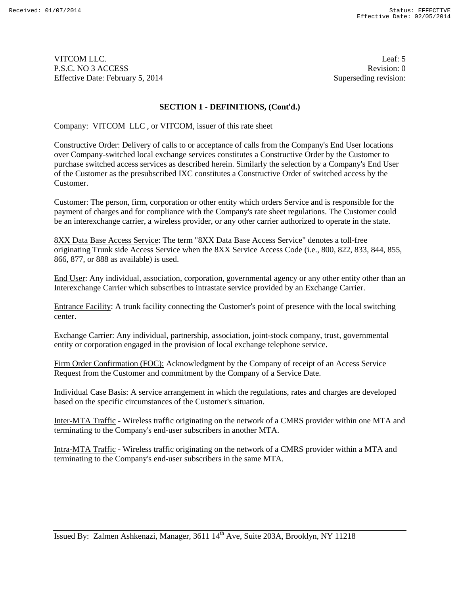VITCOM LLC. Leaf: 5 P.S.C. NO 3 ACCESS Revision: 0 Effective Date: February 5, 2014 Superseding revision:

### **SECTION 1 - DEFINITIONS, (Cont'd.)**

Company: VITCOM LLC , or VITCOM, issuer of this rate sheet

Constructive Order: Delivery of calls to or acceptance of calls from the Company's End User locations over Company-switched local exchange services constitutes a Constructive Order by the Customer to purchase switched access services as described herein. Similarly the selection by a Company's End User of the Customer as the presubscribed IXC constitutes a Constructive Order of switched access by the Customer.

Customer: The person, firm, corporation or other entity which orders Service and is responsible for the payment of charges and for compliance with the Company's rate sheet regulations. The Customer could be an interexchange carrier, a wireless provider, or any other carrier authorized to operate in the state.

8XX Data Base Access Service: The term "8XX Data Base Access Service" denotes a toll-free originating Trunk side Access Service when the 8XX Service Access Code (i.e., 800, 822, 833, 844, 855, 866, 877, or 888 as available) is used.

End User: Any individual, association, corporation, governmental agency or any other entity other than an Interexchange Carrier which subscribes to intrastate service provided by an Exchange Carrier.

Entrance Facility: A trunk facility connecting the Customer's point of presence with the local switching center.

Exchange Carrier: Any individual, partnership, association, joint-stock company, trust, governmental entity or corporation engaged in the provision of local exchange telephone service.

Firm Order Confirmation (FOC): Acknowledgment by the Company of receipt of an Access Service Request from the Customer and commitment by the Company of a Service Date.

Individual Case Basis: A service arrangement in which the regulations, rates and charges are developed based on the specific circumstances of the Customer's situation.

Inter-MTA Traffic - Wireless traffic originating on the network of a CMRS provider within one MTA and terminating to the Company's end-user subscribers in another MTA.

Intra-MTA Traffic - Wireless traffic originating on the network of a CMRS provider within a MTA and terminating to the Company's end-user subscribers in the same MTA.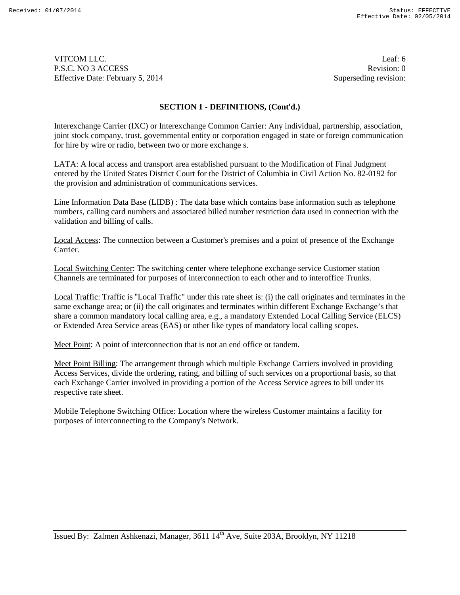VITCOM LLC. Leaf: 6 P.S.C. NO 3 ACCESS Revision: 0 Effective Date: February 5, 2014 Superseding revision:

# **SECTION 1 - DEFINITIONS, (Cont'd.)**

Interexchange Carrier (IXC) or Interexchange Common Carrier: Any individual, partnership, association, joint stock company, trust, governmental entity or corporation engaged in state or foreign communication for hire by wire or radio, between two or more exchange s.

LATA: A local access and transport area established pursuant to the Modification of Final Judgment entered by the United States District Court for the District of Columbia in Civil Action No. 82-0192 for the provision and administration of communications services.

Line Information Data Base (LIDB) : The data base which contains base information such as telephone numbers, calling card numbers and associated billed number restriction data used in connection with the validation and billing of calls.

Local Access: The connection between a Customer's premises and a point of presence of the Exchange Carrier.

Local Switching Center: The switching center where telephone exchange service Customer station Channels are terminated for purposes of interconnection to each other and to interoffice Trunks.

Local Traffic: Traffic is "Local Traffic" under this rate sheet is: (i) the call originates and terminates in the same exchange area; or (ii) the call originates and terminates within different Exchange Exchange's that share a common mandatory local calling area, e.g., a mandatory Extended Local Calling Service (ELCS) or Extended Area Service areas (EAS) or other like types of mandatory local calling scopes.

Meet Point: A point of interconnection that is not an end office or tandem.

Meet Point Billing: The arrangement through which multiple Exchange Carriers involved in providing Access Services, divide the ordering, rating, and billing of such services on a proportional basis, so that each Exchange Carrier involved in providing a portion of the Access Service agrees to bill under its respective rate sheet.

Mobile Telephone Switching Office: Location where the wireless Customer maintains a facility for purposes of interconnecting to the Company's Network.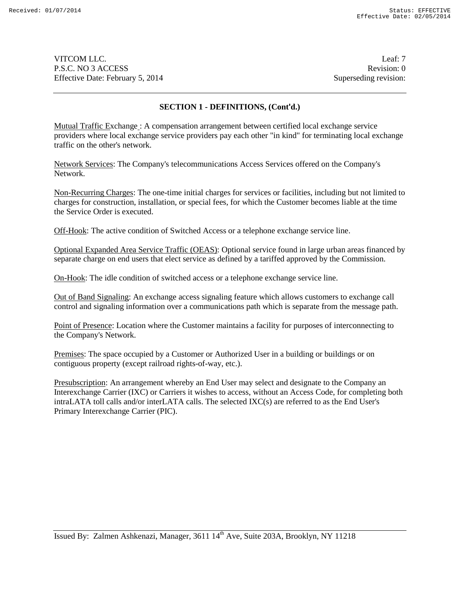VITCOM LLC. Leaf: 7 P.S.C. NO 3 ACCESS Revision: 0 Effective Date: February 5, 2014 Superseding revision:

### **SECTION 1 - DEFINITIONS, (Cont'd.)**

Mutual Traffic Exchange : A compensation arrangement between certified local exchange service providers where local exchange service providers pay each other "in kind" for terminating local exchange traffic on the other's network.

Network Services: The Company's telecommunications Access Services offered on the Company's Network.

Non-Recurring Charges: The one-time initial charges for services or facilities, including but not limited to charges for construction, installation, or special fees, for which the Customer becomes liable at the time the Service Order is executed.

Off-Hook: The active condition of Switched Access or a telephone exchange service line.

Optional Expanded Area Service Traffic (OEAS): Optional service found in large urban areas financed by separate charge on end users that elect service as defined by a tariffed approved by the Commission.

On-Hook: The idle condition of switched access or a telephone exchange service line.

Out of Band Signaling: An exchange access signaling feature which allows customers to exchange call control and signaling information over a communications path which is separate from the message path.

Point of Presence: Location where the Customer maintains a facility for purposes of interconnecting to the Company's Network.

Premises: The space occupied by a Customer or Authorized User in a building or buildings or on contiguous property (except railroad rights-of-way, etc.).

Presubscription: An arrangement whereby an End User may select and designate to the Company an Interexchange Carrier (IXC) or Carriers it wishes to access, without an Access Code, for completing both intraLATA toll calls and/or interLATA calls. The selected IXC(s) are referred to as the End User's Primary Interexchange Carrier (PIC).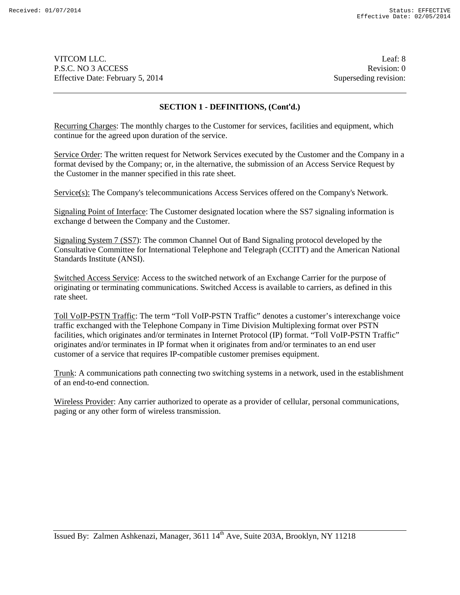VITCOM LLC. Leaf: 8 P.S.C. NO 3 ACCESS Revision: 0 Effective Date: February 5, 2014 Superseding revision:

### **SECTION 1 - DEFINITIONS, (Cont'd.)**

Recurring Charges: The monthly charges to the Customer for services, facilities and equipment, which continue for the agreed upon duration of the service.

Service Order: The written request for Network Services executed by the Customer and the Company in a format devised by the Company; or, in the alternative, the submission of an Access Service Request by the Customer in the manner specified in this rate sheet.

Service(s): The Company's telecommunications Access Services offered on the Company's Network.

Signaling Point of Interface: The Customer designated location where the SS7 signaling information is exchange d between the Company and the Customer.

Signaling System 7 (SS7): The common Channel Out of Band Signaling protocol developed by the Consultative Committee for International Telephone and Telegraph (CCITT) and the American National Standards Institute (ANSI).

Switched Access Service: Access to the switched network of an Exchange Carrier for the purpose of originating or terminating communications. Switched Access is available to carriers, as defined in this rate sheet.

Toll VoIP-PSTN Traffic: The term "Toll VoIP-PSTN Traffic" denotes a customer's interexchange voice traffic exchanged with the Telephone Company in Time Division Multiplexing format over PSTN facilities, which originates and/or terminates in Internet Protocol (IP) format. "Toll VoIP-PSTN Traffic" originates and/or terminates in IP format when it originates from and/or terminates to an end user customer of a service that requires IP-compatible customer premises equipment.

Trunk: A communications path connecting two switching systems in a network, used in the establishment of an end-to-end connection.

Wireless Provider: Any carrier authorized to operate as a provider of cellular, personal communications, paging or any other form of wireless transmission.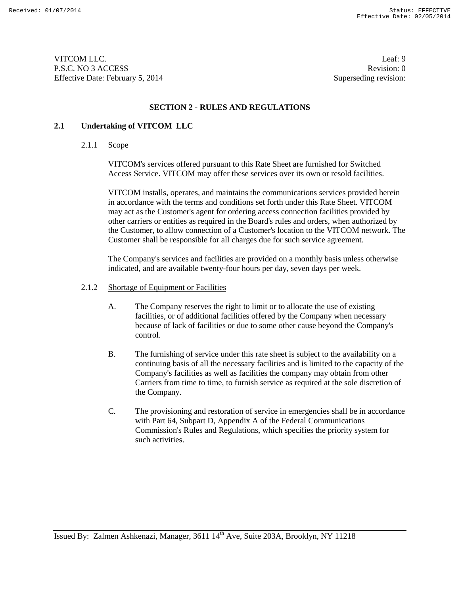VITCOM LLC. Leaf: 9 P.S.C. NO 3 ACCESS Revision: 0 Effective Date: February 5, 2014 Superseding revision:

### **SECTION 2 - RULES AND REGULATIONS**

#### **2.1 Undertaking of VITCOM LLC**

2.1.1 Scope

VITCOM's services offered pursuant to this Rate Sheet are furnished for Switched Access Service. VITCOM may offer these services over its own or resold facilities.

VITCOM installs, operates, and maintains the communications services provided herein in accordance with the terms and conditions set forth under this Rate Sheet. VITCOM may act as the Customer's agent for ordering access connection facilities provided by other carriers or entities as required in the Board's rules and orders, when authorized by the Customer, to allow connection of a Customer's location to the VITCOM network. The Customer shall be responsible for all charges due for such service agreement.

The Company's services and facilities are provided on a monthly basis unless otherwise indicated, and are available twenty-four hours per day, seven days per week.

- 2.1.2 Shortage of Equipment or Facilities
	- A. The Company reserves the right to limit or to allocate the use of existing facilities, or of additional facilities offered by the Company when necessary because of lack of facilities or due to some other cause beyond the Company's control.
	- B. The furnishing of service under this rate sheet is subject to the availability on a continuing basis of all the necessary facilities and is limited to the capacity of the Company's facilities as well as facilities the company may obtain from other Carriers from time to time, to furnish service as required at the sole discretion of the Company.
	- C. The provisioning and restoration of service in emergencies shall be in accordance with Part 64, Subpart D, Appendix A of the Federal Communications Commission's Rules and Regulations, which specifies the priority system for such activities.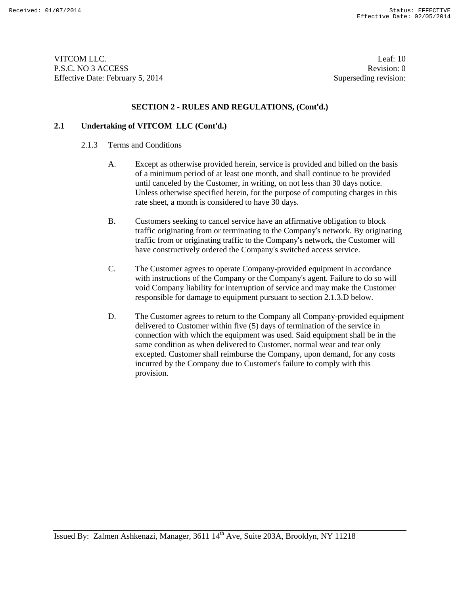VITCOM LLC. Leaf: 10 P.S.C. NO 3 ACCESS Revision: 0 Effective Date: February 5, 2014 Superseding revision:

#### **SECTION 2 - RULES AND REGULATIONS, (Cont'd.)**

### **2.1 Undertaking of VITCOM LLC (Cont'd.)**

#### 2.1.3 Terms and Conditions

- A. Except as otherwise provided herein, service is provided and billed on the basis of a minimum period of at least one month, and shall continue to be provided until canceled by the Customer, in writing, on not less than 30 days notice. Unless otherwise specified herein, for the purpose of computing charges in this rate sheet, a month is considered to have 30 days.
- B. Customers seeking to cancel service have an affirmative obligation to block traffic originating from or terminating to the Company's network. By originating traffic from or originating traffic to the Company's network, the Customer will have constructively ordered the Company's switched access service.
- C. The Customer agrees to operate Company-provided equipment in accordance with instructions of the Company or the Company's agent. Failure to do so will void Company liability for interruption of service and may make the Customer responsible for damage to equipment pursuant to section 2.1.3.D below.
- D. The Customer agrees to return to the Company all Company-provided equipment delivered to Customer within five (5) days of termination of the service in connection with which the equipment was used. Said equipment shall be in the same condition as when delivered to Customer, normal wear and tear only excepted. Customer shall reimburse the Company, upon demand, for any costs incurred by the Company due to Customer's failure to comply with this provision.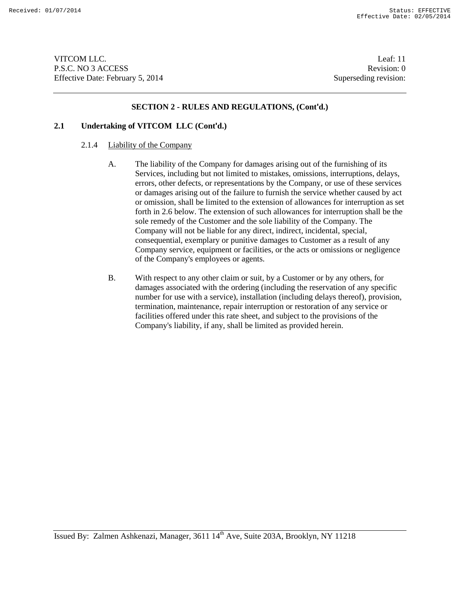VITCOM LLC. Leaf: 11 P.S.C. NO 3 ACCESS Revision: 0 Effective Date: February 5, 2014 Superseding revision:

#### **SECTION 2 - RULES AND REGULATIONS, (Cont'd.)**

# **2.1 Undertaking of VITCOM LLC (Cont'd.)**

# 2.1.4 Liability of the Company

- A. The liability of the Company for damages arising out of the furnishing of its Services, including but not limited to mistakes, omissions, interruptions, delays, errors, other defects, or representations by the Company, or use of these services or damages arising out of the failure to furnish the service whether caused by act or omission, shall be limited to the extension of allowances for interruption as set forth in 2.6 below. The extension of such allowances for interruption shall be the sole remedy of the Customer and the sole liability of the Company. The Company will not be liable for any direct, indirect, incidental, special, consequential, exemplary or punitive damages to Customer as a result of any Company service, equipment or facilities, or the acts or omissions or negligence of the Company's employees or agents.
- B. With respect to any other claim or suit, by a Customer or by any others, for damages associated with the ordering (including the reservation of any specific number for use with a service), installation (including delays thereof), provision, termination, maintenance, repair interruption or restoration of any service or facilities offered under this rate sheet, and subject to the provisions of the Company's liability, if any, shall be limited as provided herein.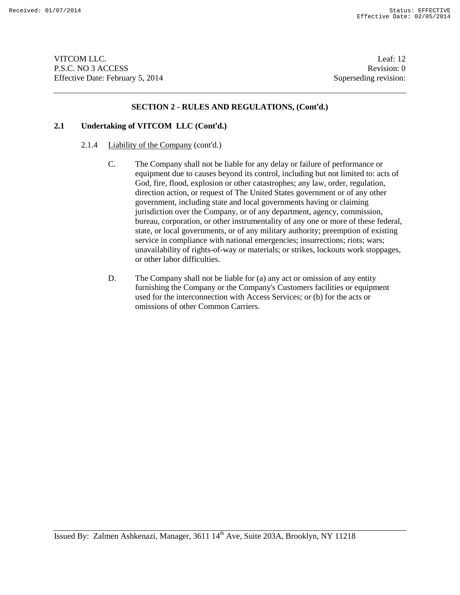VITCOM LLC. Leaf: 12 P.S.C. NO 3 ACCESS Revision: 0 Effective Date: February 5, 2014 Superseding revision:

#### **SECTION 2 - RULES AND REGULATIONS, (Cont'd.)**

# **2.1 Undertaking of VITCOM LLC (Cont'd.)**

- 2.1.4 Liability of the Company (cont'd.)
	- C. The Company shall not be liable for any delay or failure of performance or equipment due to causes beyond its control, including but not limited to: acts of God, fire, flood, explosion or other catastrophes; any law, order, regulation, direction action, or request of The United States government or of any other government, including state and local governments having or claiming jurisdiction over the Company, or of any department, agency, commission, bureau, corporation, or other instrumentality of any one or more of these federal, state, or local governments, or of any military authority; preemption of existing service in compliance with national emergencies; insurrections; riots; wars; unavailability of rights-of-way or materials; or strikes, lockouts work stoppages, or other labor difficulties.
	- D. The Company shall not be liable for (a) any act or omission of any entity furnishing the Company or the Company's Customers facilities or equipment used for the interconnection with Access Services; or (b) for the acts or omissions of other Common Carriers.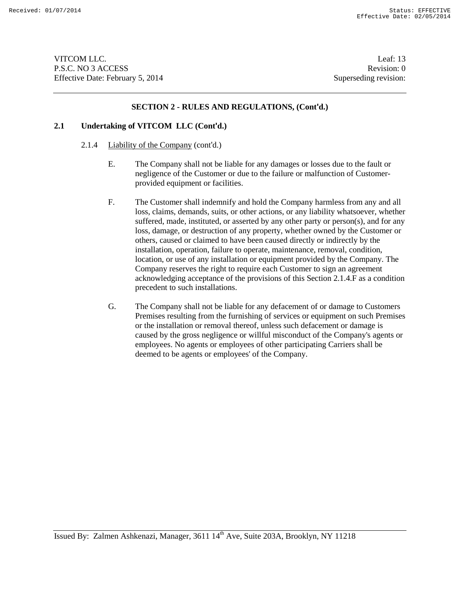VITCOM LLC. Leaf: 13 P.S.C. NO 3 ACCESS Revision: 0 Effective Date: February 5, 2014 Superseding revision:

#### **SECTION 2 - RULES AND REGULATIONS, (Cont'd.)**

### **2.1 Undertaking of VITCOM LLC (Cont'd.)**

- 2.1.4 Liability of the Company (cont'd.)
	- E. The Company shall not be liable for any damages or losses due to the fault or negligence of the Customer or due to the failure or malfunction of Customerprovided equipment or facilities.
	- F. The Customer shall indemnify and hold the Company harmless from any and all loss, claims, demands, suits, or other actions, or any liability whatsoever, whether suffered, made, instituted, or asserted by any other party or person(s), and for any loss, damage, or destruction of any property, whether owned by the Customer or others, caused or claimed to have been caused directly or indirectly by the installation, operation, failure to operate, maintenance, removal, condition, location, or use of any installation or equipment provided by the Company. The Company reserves the right to require each Customer to sign an agreement acknowledging acceptance of the provisions of this Section 2.1.4.F as a condition precedent to such installations.
	- G. The Company shall not be liable for any defacement of or damage to Customers Premises resulting from the furnishing of services or equipment on such Premises or the installation or removal thereof, unless such defacement or damage is caused by the gross negligence or willful misconduct of the Company's agents or employees. No agents or employees of other participating Carriers shall be deemed to be agents or employees' of the Company.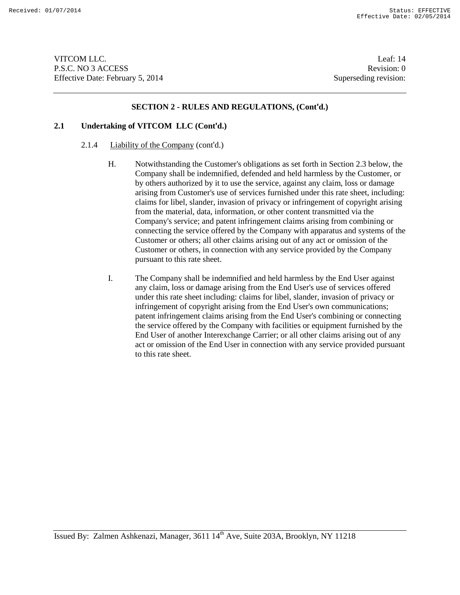VITCOM LLC. Leaf: 14 P.S.C. NO 3 ACCESS Revision: 0 Effective Date: February 5, 2014 Superseding revision:

#### **SECTION 2 - RULES AND REGULATIONS, (Cont'd.)**

# **2.1 Undertaking of VITCOM LLC (Cont'd.)**

# 2.1.4 Liability of the Company (cont'd.)

- H. Notwithstanding the Customer's obligations as set forth in Section 2.3 below, the Company shall be indemnified, defended and held harmless by the Customer, or by others authorized by it to use the service, against any claim, loss or damage arising from Customer's use of services furnished under this rate sheet, including: claims for libel, slander, invasion of privacy or infringement of copyright arising from the material, data, information, or other content transmitted via the Company's service; and patent infringement claims arising from combining or connecting the service offered by the Company with apparatus and systems of the Customer or others; all other claims arising out of any act or omission of the Customer or others, in connection with any service provided by the Company pursuant to this rate sheet.
- I. The Company shall be indemnified and held harmless by the End User against any claim, loss or damage arising from the End User's use of services offered under this rate sheet including: claims for libel, slander, invasion of privacy or infringement of copyright arising from the End User's own communications; patent infringement claims arising from the End User's combining or connecting the service offered by the Company with facilities or equipment furnished by the End User of another Interexchange Carrier; or all other claims arising out of any act or omission of the End User in connection with any service provided pursuant to this rate sheet.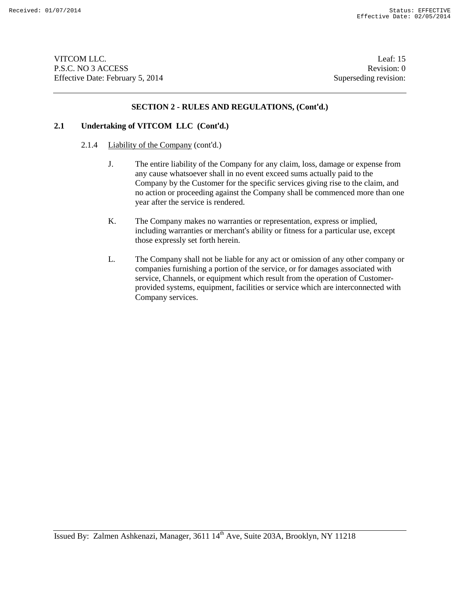VITCOM LLC. Leaf: 15 P.S.C. NO 3 ACCESS Revision: 0 Effective Date: February 5, 2014 Superseding revision:

#### **SECTION 2 - RULES AND REGULATIONS, (Cont'd.)**

# **2.1 Undertaking of VITCOM LLC (Cont'd.)**

#### 2.1.4 Liability of the Company (cont'd.)

- J. The entire liability of the Company for any claim, loss, damage or expense from any cause whatsoever shall in no event exceed sums actually paid to the Company by the Customer for the specific services giving rise to the claim, and no action or proceeding against the Company shall be commenced more than one year after the service is rendered.
- K. The Company makes no warranties or representation, express or implied, including warranties or merchant's ability or fitness for a particular use, except those expressly set forth herein.
- L. The Company shall not be liable for any act or omission of any other company or companies furnishing a portion of the service, or for damages associated with service, Channels, or equipment which result from the operation of Customerprovided systems, equipment, facilities or service which are interconnected with Company services.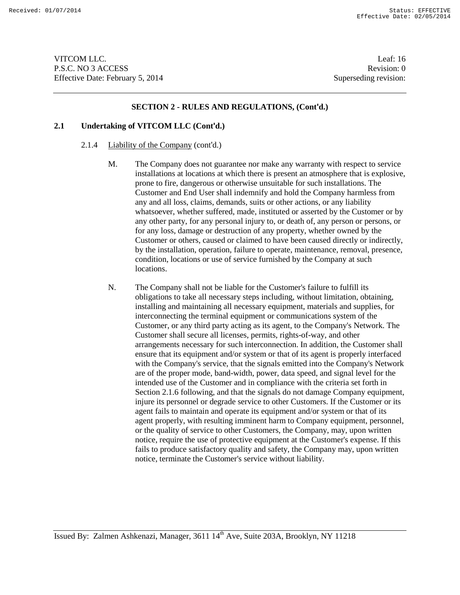VITCOM LLC. Leaf: 16 P.S.C. NO 3 ACCESS Revision: 0 Effective Date: February 5, 2014 Superseding revision:

#### **SECTION 2 - RULES AND REGULATIONS, (Cont'd.)**

# **2.1 Undertaking of VITCOM LLC (Cont'd.)**

#### 2.1.4 Liability of the Company (cont'd.)

- M. The Company does not guarantee nor make any warranty with respect to service installations at locations at which there is present an atmosphere that is explosive, prone to fire, dangerous or otherwise unsuitable for such installations. The Customer and End User shall indemnify and hold the Company harmless from any and all loss, claims, demands, suits or other actions, or any liability whatsoever, whether suffered, made, instituted or asserted by the Customer or by any other party, for any personal injury to, or death of, any person or persons, or for any loss, damage or destruction of any property, whether owned by the Customer or others, caused or claimed to have been caused directly or indirectly, by the installation, operation, failure to operate, maintenance, removal, presence, condition, locations or use of service furnished by the Company at such locations.
- N. The Company shall not be liable for the Customer's failure to fulfill its obligations to take all necessary steps including, without limitation, obtaining, installing and maintaining all necessary equipment, materials and supplies, for interconnecting the terminal equipment or communications system of the Customer, or any third party acting as its agent, to the Company's Network. The Customer shall secure all licenses, permits, rights-of-way, and other arrangements necessary for such interconnection. In addition, the Customer shall ensure that its equipment and/or system or that of its agent is properly interfaced with the Company's service, that the signals emitted into the Company's Network are of the proper mode, band-width, power, data speed, and signal level for the intended use of the Customer and in compliance with the criteria set forth in Section 2.1.6 following, and that the signals do not damage Company equipment, injure its personnel or degrade service to other Customers. If the Customer or its agent fails to maintain and operate its equipment and/or system or that of its agent properly, with resulting imminent harm to Company equipment, personnel, or the quality of service to other Customers, the Company, may, upon written notice, require the use of protective equipment at the Customer's expense. If this fails to produce satisfactory quality and safety, the Company may, upon written notice, terminate the Customer's service without liability.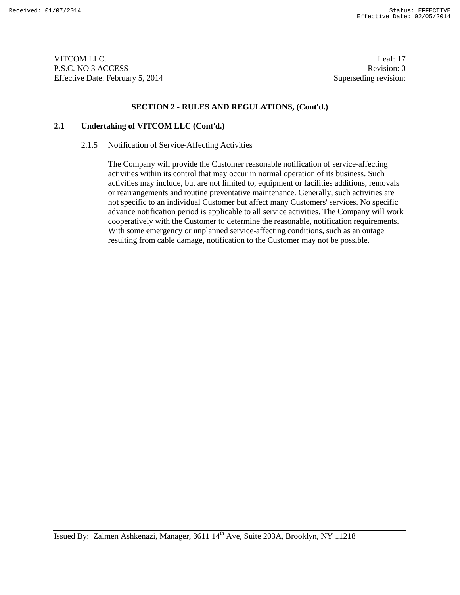VITCOM LLC. Leaf: 17 P.S.C. NO 3 ACCESS Revision: 0 Effective Date: February 5, 2014 Superseding revision:

#### **SECTION 2 - RULES AND REGULATIONS, (Cont'd.)**

# **2.1 Undertaking of VITCOM LLC (Cont'd.)**

# 2.1.5 Notification of Service-Affecting Activities

The Company will provide the Customer reasonable notification of service-affecting activities within its control that may occur in normal operation of its business. Such activities may include, but are not limited to, equipment or facilities additions, removals or rearrangements and routine preventative maintenance. Generally, such activities are not specific to an individual Customer but affect many Customers' services. No specific advance notification period is applicable to all service activities. The Company will work cooperatively with the Customer to determine the reasonable, notification requirements. With some emergency or unplanned service-affecting conditions, such as an outage resulting from cable damage, notification to the Customer may not be possible.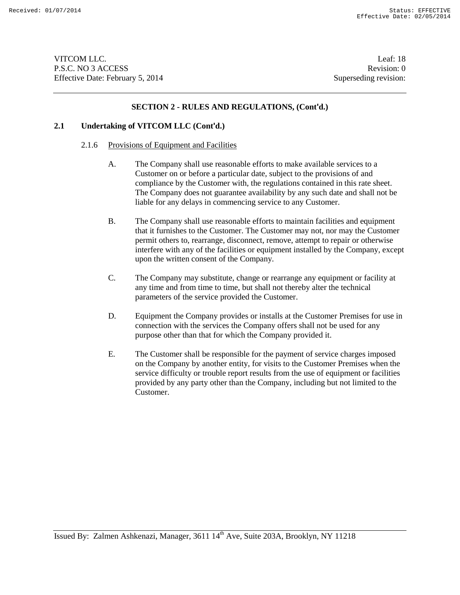VITCOM LLC. Leaf: 18 P.S.C. NO 3 ACCESS Revision: 0 Effective Date: February 5, 2014 Superseding revision:

#### **SECTION 2 - RULES AND REGULATIONS, (Cont'd.)**

### **2.1 Undertaking of VITCOM LLC (Cont'd.)**

#### 2.1.6 Provisions of Equipment and Facilities

- A. The Company shall use reasonable efforts to make available services to a Customer on or before a particular date, subject to the provisions of and compliance by the Customer with, the regulations contained in this rate sheet. The Company does not guarantee availability by any such date and shall not be liable for any delays in commencing service to any Customer.
- B. The Company shall use reasonable efforts to maintain facilities and equipment that it furnishes to the Customer. The Customer may not, nor may the Customer permit others to, rearrange, disconnect, remove, attempt to repair or otherwise interfere with any of the facilities or equipment installed by the Company, except upon the written consent of the Company.
- C. The Company may substitute, change or rearrange any equipment or facility at any time and from time to time, but shall not thereby alter the technical parameters of the service provided the Customer.
- D. Equipment the Company provides or installs at the Customer Premises for use in connection with the services the Company offers shall not be used for any purpose other than that for which the Company provided it.
- E. The Customer shall be responsible for the payment of service charges imposed on the Company by another entity, for visits to the Customer Premises when the service difficulty or trouble report results from the use of equipment or facilities provided by any party other than the Company, including but not limited to the Customer.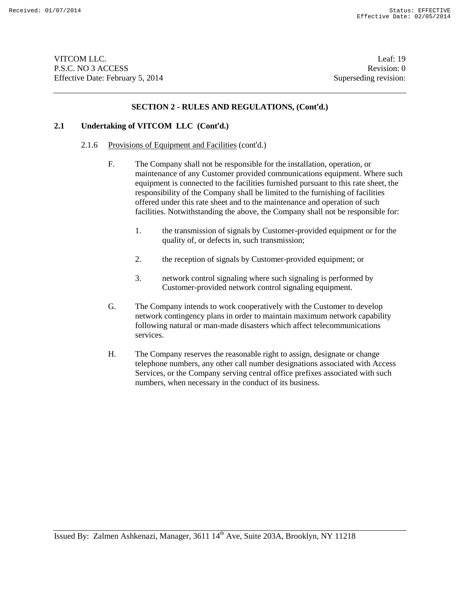VITCOM LLC. Leaf: 19 P.S.C. NO 3 ACCESS Revision: 0 Effective Date: February 5, 2014 Superseding revision:

#### **SECTION 2 - RULES AND REGULATIONS, (Cont'd.)**

### **2.1 Undertaking of VITCOM LLC (Cont'd.)**

- 2.1.6 Provisions of Equipment and Facilities (cont'd.)
	- F. The Company shall not be responsible for the installation, operation, or maintenance of any Customer provided communications equipment. Where such equipment is connected to the facilities furnished pursuant to this rate sheet, the responsibility of the Company shall be limited to the furnishing of facilities offered under this rate sheet and to the maintenance and operation of such facilities. Notwithstanding the above, the Company shall not be responsible for:
		- 1. the transmission of signals by Customer-provided equipment or for the quality of, or defects in, such transmission;
		- 2. the reception of signals by Customer-provided equipment; or
		- 3. network control signaling where such signaling is performed by Customer-provided network control signaling equipment.
	- G. The Company intends to work cooperatively with the Customer to develop network contingency plans in order to maintain maximum network capability following natural or man-made disasters which affect telecommunications services.
	- H. The Company reserves the reasonable right to assign, designate or change telephone numbers, any other call number designations associated with Access Services, or the Company serving central office prefixes associated with such numbers, when necessary in the conduct of its business.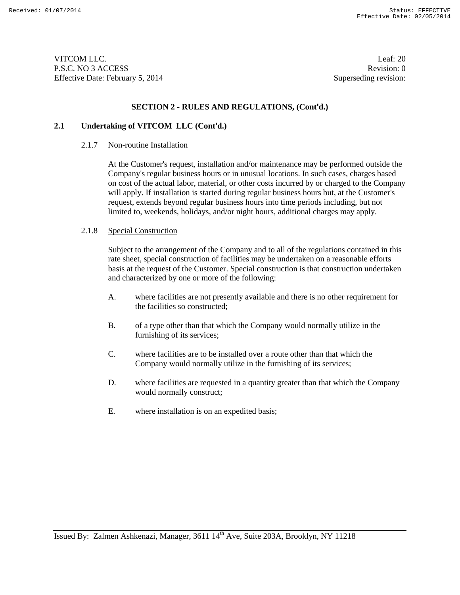VITCOM LLC. Leaf: 20 P.S.C. NO 3 ACCESS Revision: 0 Effective Date: February 5, 2014 Superseding revision:

#### **SECTION 2 - RULES AND REGULATIONS, (Cont'd.)**

### **2.1 Undertaking of VITCOM LLC (Cont'd.)**

#### 2.1.7 Non-routine Installation

At the Customer's request, installation and/or maintenance may be performed outside the Company's regular business hours or in unusual locations. In such cases, charges based on cost of the actual labor, material, or other costs incurred by or charged to the Company will apply. If installation is started during regular business hours but, at the Customer's request, extends beyond regular business hours into time periods including, but not limited to, weekends, holidays, and/or night hours, additional charges may apply.

#### 2.1.8 Special Construction

Subject to the arrangement of the Company and to all of the regulations contained in this rate sheet, special construction of facilities may be undertaken on a reasonable efforts basis at the request of the Customer. Special construction is that construction undertaken and characterized by one or more of the following:

- A. where facilities are not presently available and there is no other requirement for the facilities so constructed;
- B. of a type other than that which the Company would normally utilize in the furnishing of its services;
- C. where facilities are to be installed over a route other than that which the Company would normally utilize in the furnishing of its services;
- D. where facilities are requested in a quantity greater than that which the Company would normally construct;
- E. where installation is on an expedited basis;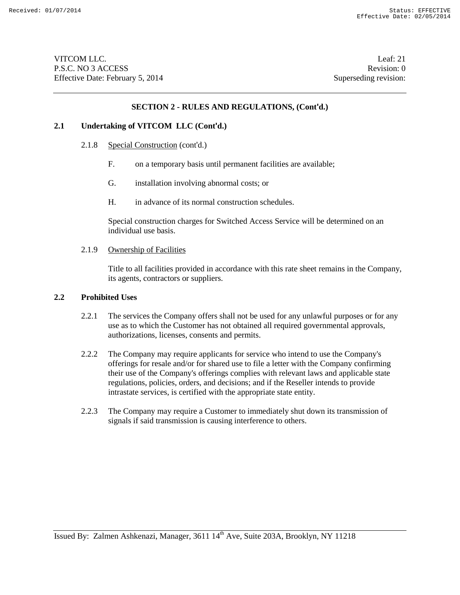VITCOM LLC. Leaf: 21 P.S.C. NO 3 ACCESS Revision: 0 Effective Date: February 5, 2014 Superseding revision:

#### **SECTION 2 - RULES AND REGULATIONS, (Cont'd.)**

#### **2.1 Undertaking of VITCOM LLC (Cont'd.)**

- 2.1.8 Special Construction (cont'd.)
	- F. on a temporary basis until permanent facilities are available;
	- G. installation involving abnormal costs; or
	- H. in advance of its normal construction schedules.

Special construction charges for Switched Access Service will be determined on an individual use basis.

#### 2.1.9 Ownership of Facilities

Title to all facilities provided in accordance with this rate sheet remains in the Company, its agents, contractors or suppliers.

#### **2.2 Prohibited Uses**

- 2.2.1 The services the Company offers shall not be used for any unlawful purposes or for any use as to which the Customer has not obtained all required governmental approvals, authorizations, licenses, consents and permits.
- 2.2.2 The Company may require applicants for service who intend to use the Company's offerings for resale and/or for shared use to file a letter with the Company confirming their use of the Company's offerings complies with relevant laws and applicable state regulations, policies, orders, and decisions; and if the Reseller intends to provide intrastate services, is certified with the appropriate state entity.
- 2.2.3 The Company may require a Customer to immediately shut down its transmission of signals if said transmission is causing interference to others.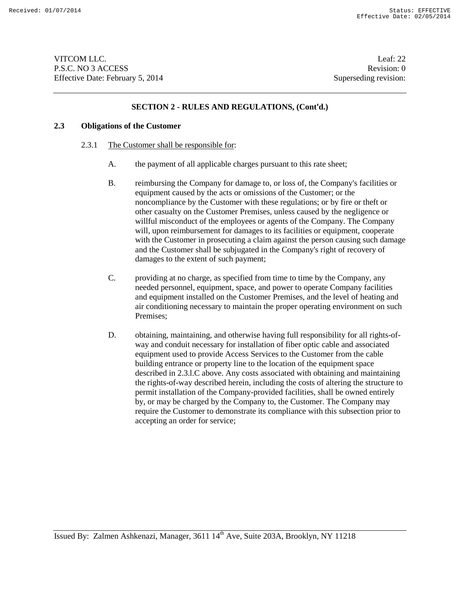VITCOM LLC. Leaf: 22 P.S.C. NO 3 ACCESS Revision: 0 Effective Date: February 5, 2014 Superseding revision:

### **SECTION 2 - RULES AND REGULATIONS, (Cont'd.)**

### **2.3 Obligations of the Customer**

- 2.3.1 The Customer shall be responsible for:
	- A. the payment of all applicable charges pursuant to this rate sheet;
	- B. reimbursing the Company for damage to, or loss of, the Company's facilities or equipment caused by the acts or omissions of the Customer; or the noncompliance by the Customer with these regulations; or by fire or theft or other casualty on the Customer Premises, unless caused by the negligence or willful misconduct of the employees or agents of the Company. The Company will, upon reimbursement for damages to its facilities or equipment, cooperate with the Customer in prosecuting a claim against the person causing such damage and the Customer shall be subjugated in the Company's right of recovery of damages to the extent of such payment;
	- C. providing at no charge, as specified from time to time by the Company, any needed personnel, equipment, space, and power to operate Company facilities and equipment installed on the Customer Premises, and the level of heating and air conditioning necessary to maintain the proper operating environment on such Premises;
	- D. obtaining, maintaining, and otherwise having full responsibility for all rights-ofway and conduit necessary for installation of fiber optic cable and associated equipment used to provide Access Services to the Customer from the cable building entrance or property line to the location of the equipment space described in 2.3.l.C above. Any costs associated with obtaining and maintaining the rights-of-way described herein, including the costs of altering the structure to permit installation of the Company-provided facilities, shall be owned entirely by, or may be charged by the Company to, the Customer. The Company may require the Customer to demonstrate its compliance with this subsection prior to accepting an order for service;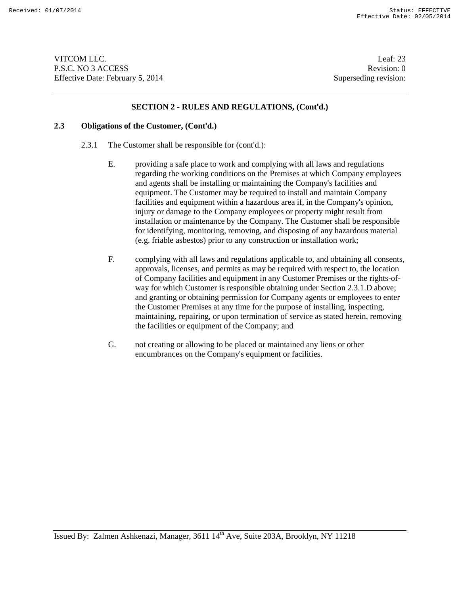VITCOM LLC. Leaf: 23 P.S.C. NO 3 ACCESS Revision: 0 Effective Date: February 5, 2014 Superseding revision:

#### **SECTION 2 - RULES AND REGULATIONS, (Cont'd.)**

#### **2.3 Obligations of the Customer, (Cont'd.)**

- 2.3.1 The Customer shall be responsible for (cont'd.):
	- E. providing a safe place to work and complying with all laws and regulations regarding the working conditions on the Premises at which Company employees and agents shall be installing or maintaining the Company's facilities and equipment. The Customer may be required to install and maintain Company facilities and equipment within a hazardous area if, in the Company's opinion, injury or damage to the Company employees or property might result from installation or maintenance by the Company. The Customer shall be responsible for identifying, monitoring, removing, and disposing of any hazardous material (e.g. friable asbestos) prior to any construction or installation work;
	- F. complying with all laws and regulations applicable to, and obtaining all consents, approvals, licenses, and permits as may be required with respect to, the location of Company facilities and equipment in any Customer Premises or the rights-ofway for which Customer is responsible obtaining under Section 2.3.1.D above; and granting or obtaining permission for Company agents or employees to enter the Customer Premises at any time for the purpose of installing, inspecting, maintaining, repairing, or upon termination of service as stated herein, removing the facilities or equipment of the Company; and
	- G. not creating or allowing to be placed or maintained any liens or other encumbrances on the Company's equipment or facilities.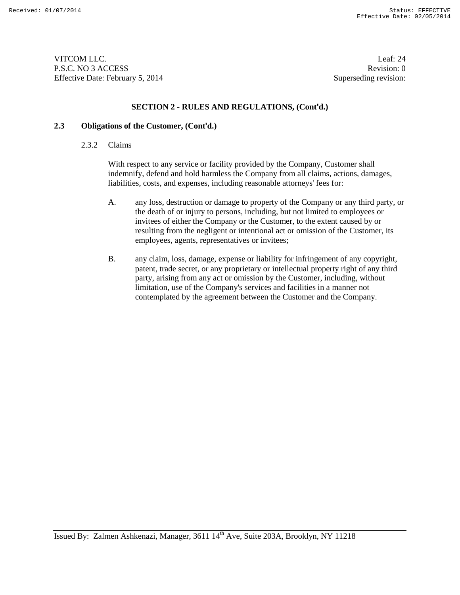VITCOM LLC. Leaf: 24 P.S.C. NO 3 ACCESS Revision: 0 Effective Date: February 5, 2014 Superseding revision:

#### **SECTION 2 - RULES AND REGULATIONS, (Cont'd.)**

# **2.3 Obligations of the Customer, (Cont'd.)**

# 2.3.2 Claims

With respect to any service or facility provided by the Company, Customer shall indemnify, defend and hold harmless the Company from all claims, actions, damages, liabilities, costs, and expenses, including reasonable attorneys' fees for:

- A. any loss, destruction or damage to property of the Company or any third party, or the death of or injury to persons, including, but not limited to employees or invitees of either the Company or the Customer, to the extent caused by or resulting from the negligent or intentional act or omission of the Customer, its employees, agents, representatives or invitees;
- B. any claim, loss, damage, expense or liability for infringement of any copyright, patent, trade secret, or any proprietary or intellectual property right of any third party, arising from any act or omission by the Customer, including, without limitation, use of the Company's services and facilities in a manner not contemplated by the agreement between the Customer and the Company.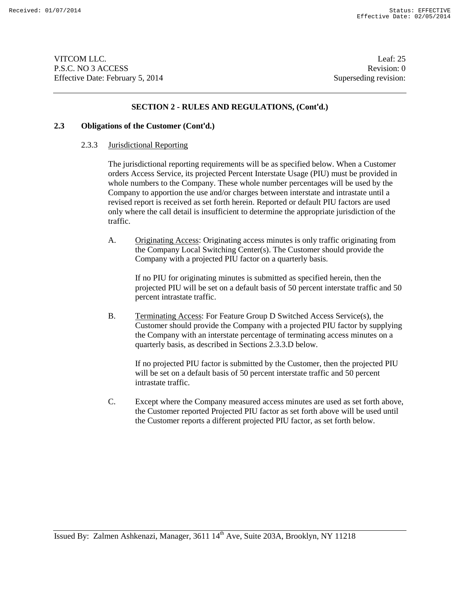VITCOM LLC. Leaf: 25 P.S.C. NO 3 ACCESS Revision: 0 Effective Date: February 5, 2014 Superseding revision:

### **SECTION 2 - RULES AND REGULATIONS, (Cont'd.)**

#### **2.3 Obligations of the Customer (Cont'd.)**

#### 2.3.3 Jurisdictional Reporting

The jurisdictional reporting requirements will be as specified below. When a Customer orders Access Service, its projected Percent Interstate Usage (PIU) must be provided in whole numbers to the Company. These whole number percentages will be used by the Company to apportion the use and/or charges between interstate and intrastate until a revised report is received as set forth herein. Reported or default PIU factors are used only where the call detail is insufficient to determine the appropriate jurisdiction of the traffic.

A. Originating Access: Originating access minutes is only traffic originating from the Company Local Switching Center(s). The Customer should provide the Company with a projected PIU factor on a quarterly basis.

If no PIU for originating minutes is submitted as specified herein, then the projected PIU will be set on a default basis of 50 percent interstate traffic and 50 percent intrastate traffic.

B. Terminating Access: For Feature Group D Switched Access Service(s), the Customer should provide the Company with a projected PIU factor by supplying the Company with an interstate percentage of terminating access minutes on a quarterly basis, as described in Sections 2.3.3.D below.

If no projected PIU factor is submitted by the Customer, then the projected PIU will be set on a default basis of 50 percent interstate traffic and 50 percent intrastate traffic.

C. Except where the Company measured access minutes are used as set forth above, the Customer reported Projected PIU factor as set forth above will be used until the Customer reports a different projected PIU factor, as set forth below.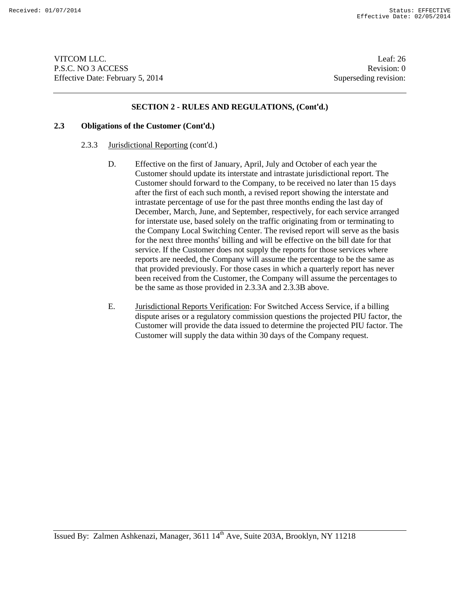VITCOM LLC. Leaf: 26 P.S.C. NO 3 ACCESS Revision: 0 Effective Date: February 5, 2014 Superseding revision:

#### **SECTION 2 - RULES AND REGULATIONS, (Cont'd.)**

# **2.3 Obligations of the Customer (Cont'd.)**

- 2.3.3 Jurisdictional Reporting (cont'd.)
	- D. Effective on the first of January, April, July and October of each year the Customer should update its interstate and intrastate jurisdictional report. The Customer should forward to the Company, to be received no later than 15 days after the first of each such month, a revised report showing the interstate and intrastate percentage of use for the past three months ending the last day of December, March, June, and September, respectively, for each service arranged for interstate use, based solely on the traffic originating from or terminating to the Company Local Switching Center. The revised report will serve as the basis for the next three months' billing and will be effective on the bill date for that service. If the Customer does not supply the reports for those services where reports are needed, the Company will assume the percentage to be the same as that provided previously. For those cases in which a quarterly report has never been received from the Customer, the Company will assume the percentages to be the same as those provided in 2.3.3A and 2.3.3B above.
	- E. Jurisdictional Reports Verification: For Switched Access Service, if a billing dispute arises or a regulatory commission questions the projected PIU factor, the Customer will provide the data issued to determine the projected PIU factor. The Customer will supply the data within 30 days of the Company request.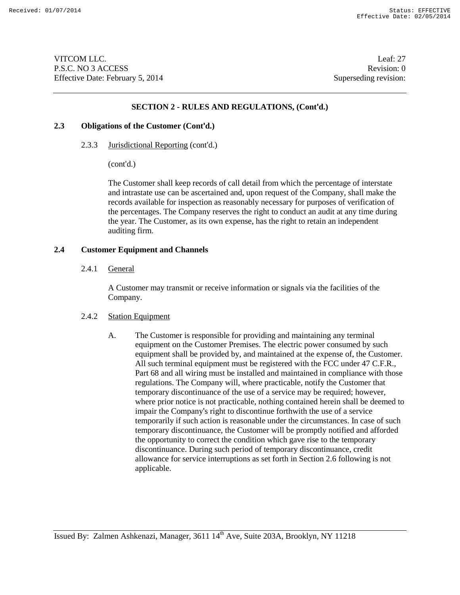VITCOM LLC. Leaf: 27 P.S.C. NO 3 ACCESS Revision: 0 Effective Date: February 5, 2014 Superseding revision:

#### **SECTION 2 - RULES AND REGULATIONS, (Cont'd.)**

### **2.3 Obligations of the Customer (Cont'd.)**

2.3.3 Jurisdictional Reporting (cont'd.)

(cont'd.)

The Customer shall keep records of call detail from which the percentage of interstate and intrastate use can be ascertained and, upon request of the Company, shall make the records available for inspection as reasonably necessary for purposes of verification of the percentages. The Company reserves the right to conduct an audit at any time during the year. The Customer, as its own expense, has the right to retain an independent auditing firm.

### **2.4 Customer Equipment and Channels**

2.4.1 General

A Customer may transmit or receive information or signals via the facilities of the Company.

#### 2.4.2 Station Equipment

A. The Customer is responsible for providing and maintaining any terminal equipment on the Customer Premises. The electric power consumed by such equipment shall be provided by, and maintained at the expense of, the Customer. All such terminal equipment must be registered with the FCC under 47 C.F.R., Part 68 and all wiring must be installed and maintained in compliance with those regulations. The Company will, where practicable, notify the Customer that temporary discontinuance of the use of a service may be required; however, where prior notice is not practicable, nothing contained herein shall be deemed to impair the Company's right to discontinue forthwith the use of a service temporarily if such action is reasonable under the circumstances. In case of such temporary discontinuance, the Customer will be promptly notified and afforded the opportunity to correct the condition which gave rise to the temporary discontinuance. During such period of temporary discontinuance, credit allowance for service interruptions as set forth in Section 2.6 following is not applicable.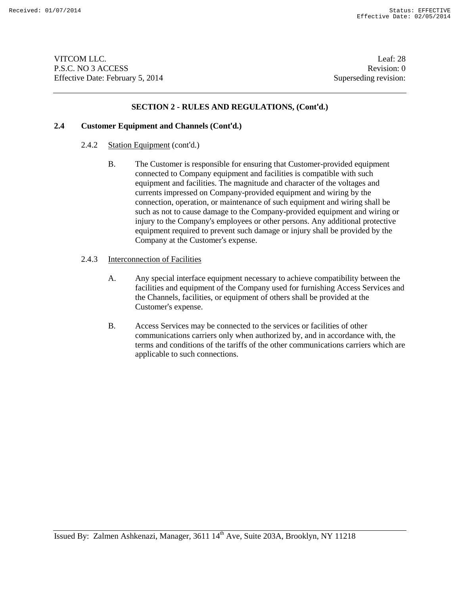VITCOM LLC. Leaf: 28 P.S.C. NO 3 ACCESS Revision: 0 Effective Date: February 5, 2014 Superseding revision:

### **SECTION 2 - RULES AND REGULATIONS, (Cont'd.)**

#### **2.4 Customer Equipment and Channels (Cont'd.)**

#### 2.4.2 Station Equipment (cont'd.)

- B. The Customer is responsible for ensuring that Customer-provided equipment connected to Company equipment and facilities is compatible with such equipment and facilities. The magnitude and character of the voltages and currents impressed on Company-provided equipment and wiring by the connection, operation, or maintenance of such equipment and wiring shall be such as not to cause damage to the Company-provided equipment and wiring or injury to the Company's employees or other persons. Any additional protective equipment required to prevent such damage or injury shall be provided by the Company at the Customer's expense.
- 2.4.3 Interconnection of Facilities
	- A. Any special interface equipment necessary to achieve compatibility between the facilities and equipment of the Company used for furnishing Access Services and the Channels, facilities, or equipment of others shall be provided at the Customer's expense.
	- B. Access Services may be connected to the services or facilities of other communications carriers only when authorized by, and in accordance with, the terms and conditions of the tariffs of the other communications carriers which are applicable to such connections.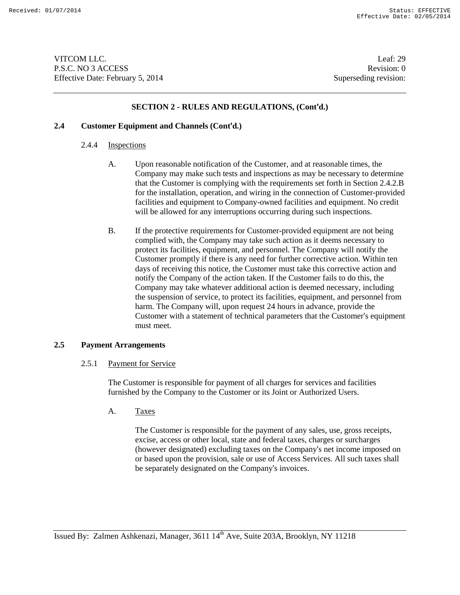VITCOM LLC. Leaf: 29 P.S.C. NO 3 ACCESS Revision: 0 Effective Date: February 5, 2014 Superseding revision:

# **SECTION 2 - RULES AND REGULATIONS, (Cont'd.)**

#### **2.4 Customer Equipment and Channels (Cont'd.)**

#### 2.4.4 Inspections

- A. Upon reasonable notification of the Customer, and at reasonable times, the Company may make such tests and inspections as may be necessary to determine that the Customer is complying with the requirements set forth in Section 2.4.2.B for the installation, operation, and wiring in the connection of Customer-provided facilities and equipment to Company-owned facilities and equipment. No credit will be allowed for any interruptions occurring during such inspections.
- B. If the protective requirements for Customer-provided equipment are not being complied with, the Company may take such action as it deems necessary to protect its facilities, equipment, and personnel. The Company will notify the Customer promptly if there is any need for further corrective action. Within ten days of receiving this notice, the Customer must take this corrective action and notify the Company of the action taken. If the Customer fails to do this, the Company may take whatever additional action is deemed necessary, including the suspension of service, to protect its facilities, equipment, and personnel from harm. The Company will, upon request 24 hours in advance, provide the Customer with a statement of technical parameters that the Customer's equipment must meet.

# **2.5 Payment Arrangements**

# 2.5.1 Payment for Service

The Customer is responsible for payment of all charges for services and facilities furnished by the Company to the Customer or its Joint or Authorized Users.

A. Taxes

The Customer is responsible for the payment of any sales, use, gross receipts, excise, access or other local, state and federal taxes, charges or surcharges (however designated) excluding taxes on the Company's net income imposed on or based upon the provision, sale or use of Access Services. All such taxes shall be separately designated on the Company's invoices.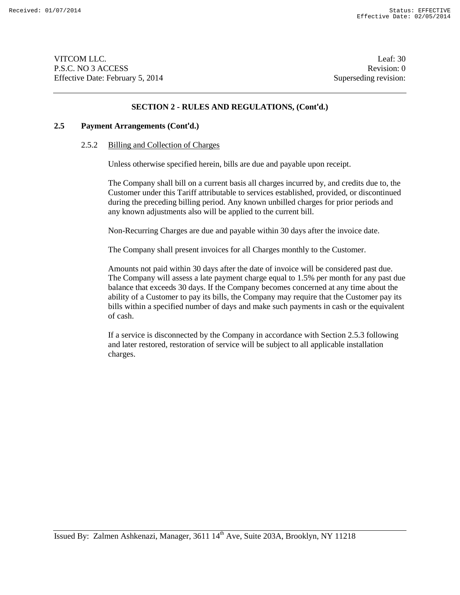VITCOM LLC. Leaf: 30 P.S.C. NO 3 ACCESS Revision: 0 Effective Date: February 5, 2014 Superseding revision:

#### **SECTION 2 - RULES AND REGULATIONS, (Cont'd.)**

# **2.5 Payment Arrangements (Cont'd.)**

#### 2.5.2 Billing and Collection of Charges

Unless otherwise specified herein, bills are due and payable upon receipt.

The Company shall bill on a current basis all charges incurred by, and credits due to, the Customer under this Tariff attributable to services established, provided, or discontinued during the preceding billing period. Any known unbilled charges for prior periods and any known adjustments also will be applied to the current bill.

Non-Recurring Charges are due and payable within 30 days after the invoice date.

The Company shall present invoices for all Charges monthly to the Customer.

Amounts not paid within 30 days after the date of invoice will be considered past due. The Company will assess a late payment charge equal to 1.5% per month for any past due balance that exceeds 30 days. If the Company becomes concerned at any time about the ability of a Customer to pay its bills, the Company may require that the Customer pay its bills within a specified number of days and make such payments in cash or the equivalent of cash.

If a service is disconnected by the Company in accordance with Section 2.5.3 following and later restored, restoration of service will be subject to all applicable installation charges.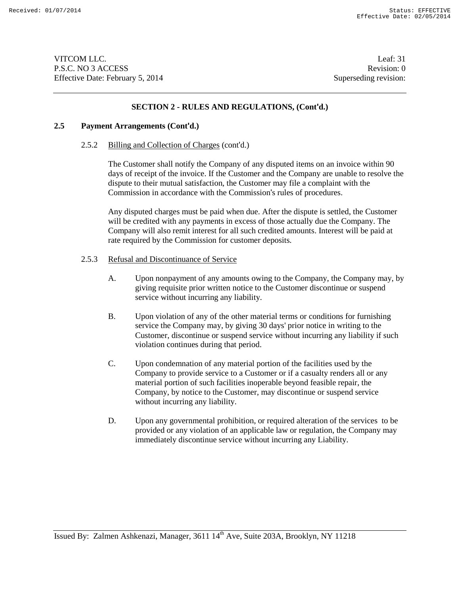VITCOM LLC. Leaf: 31 P.S.C. NO 3 ACCESS Revision: 0 Effective Date: February 5, 2014 Superseding revision:

### **SECTION 2 - RULES AND REGULATIONS, (Cont'd.)**

### **2.5 Payment Arrangements (Cont'd.)**

#### 2.5.2 Billing and Collection of Charges (cont'd.)

The Customer shall notify the Company of any disputed items on an invoice within 90 days of receipt of the invoice. If the Customer and the Company are unable to resolve the dispute to their mutual satisfaction, the Customer may file a complaint with the Commission in accordance with the Commission's rules of procedures.

Any disputed charges must be paid when due. After the dispute is settled, the Customer will be credited with any payments in excess of those actually due the Company. The Company will also remit interest for all such credited amounts. Interest will be paid at rate required by the Commission for customer deposits.

#### 2.5.3 Refusal and Discontinuance of Service

- A. Upon nonpayment of any amounts owing to the Company, the Company may, by giving requisite prior written notice to the Customer discontinue or suspend service without incurring any liability.
- B. Upon violation of any of the other material terms or conditions for furnishing service the Company may, by giving 30 days' prior notice in writing to the Customer, discontinue or suspend service without incurring any liability if such violation continues during that period.
- C. Upon condemnation of any material portion of the facilities used by the Company to provide service to a Customer or if a casualty renders all or any material portion of such facilities inoperable beyond feasible repair, the Company, by notice to the Customer, may discontinue or suspend service without incurring any liability.
- D. Upon any governmental prohibition, or required alteration of the services to be provided or any violation of an applicable law or regulation, the Company may immediately discontinue service without incurring any Liability.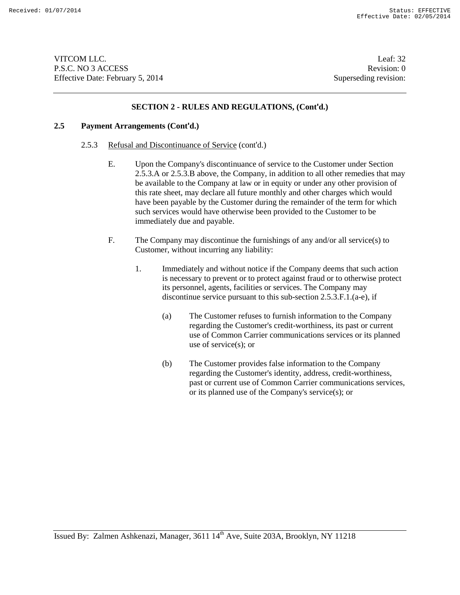VITCOM LLC. Leaf: 32 P.S.C. NO 3 ACCESS Revision: 0 Effective Date: February 5, 2014 Superseding revision:

### **SECTION 2 - RULES AND REGULATIONS, (Cont'd.)**

# **2.5 Payment Arrangements (Cont'd.)**

- 2.5.3 Refusal and Discontinuance of Service (cont'd.)
	- E. Upon the Company's discontinuance of service to the Customer under Section 2.5.3.A or 2.5.3.B above, the Company, in addition to all other remedies that may be available to the Company at law or in equity or under any other provision of this rate sheet, may declare all future monthly and other charges which would have been payable by the Customer during the remainder of the term for which such services would have otherwise been provided to the Customer to be immediately due and payable.
	- F. The Company may discontinue the furnishings of any and/or all service(s) to Customer, without incurring any liability:
		- 1. Immediately and without notice if the Company deems that such action is necessary to prevent or to protect against fraud or to otherwise protect its personnel, agents, facilities or services. The Company may discontinue service pursuant to this sub-section 2.5.3.F.1.(a-e), if
			- (a) The Customer refuses to furnish information to the Company regarding the Customer's credit-worthiness, its past or current use of Common Carrier communications services or its planned use of service(s); or
			- (b) The Customer provides false information to the Company regarding the Customer's identity, address, credit-worthiness, past or current use of Common Carrier communications services, or its planned use of the Company's service(s); or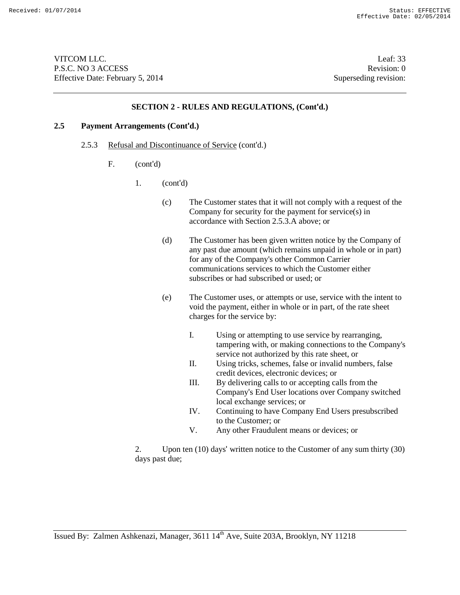VITCOM LLC. Leaf: 33 P.S.C. NO 3 ACCESS Revision: 0 Effective Date: February 5, 2014 Superseding revision:

#### **SECTION 2 - RULES AND REGULATIONS, (Cont'd.)**

# **2.5 Payment Arrangements (Cont'd.)**

- 2.5.3 Refusal and Discontinuance of Service (cont'd.)
	- F. (cont'd)
		- 1. (cont'd)
			- (c) The Customer states that it will not comply with a request of the Company for security for the payment for service(s) in accordance with Section 2.5.3.A above; or
			- (d) The Customer has been given written notice by the Company of any past due amount (which remains unpaid in whole or in part) for any of the Company's other Common Carrier communications services to which the Customer either subscribes or had subscribed or used; or
			- (e) The Customer uses, or attempts or use, service with the intent to void the payment, either in whole or in part, of the rate sheet charges for the service by:
				- I. Using or attempting to use service by rearranging, tampering with, or making connections to the Company's service not authorized by this rate sheet, or
				- II. Using tricks, schemes, false or invalid numbers, false credit devices, electronic devices; or
				- III. By delivering calls to or accepting calls from the Company's End User locations over Company switched local exchange services; or
				- IV. Continuing to have Company End Users presubscribed to the Customer; or
				- V. Any other Fraudulent means or devices; or

2. Upon ten (10) days' written notice to the Customer of any sum thirty (30) days past due;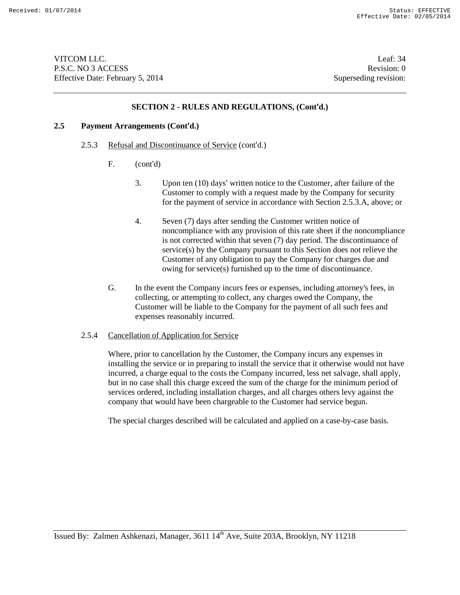VITCOM LLC. Leaf: 34 P.S.C. NO 3 ACCESS Revision: 0 Effective Date: February 5, 2014 Superseding revision:

#### **SECTION 2 - RULES AND REGULATIONS, (Cont'd.)**

### **2.5 Payment Arrangements (Cont'd.)**

- 2.5.3 Refusal and Discontinuance of Service (cont'd.)
	- F. (cont'd)
		- 3. Upon ten (10) days' written notice to the Customer, after failure of the Customer to comply with a request made by the Company for security for the payment of service in accordance with Section 2.5.3.A, above; or
		- 4. Seven (7) days after sending the Customer written notice of noncompliance with any provision of this rate sheet if the noncompliance is not corrected within that seven (7) day period. The discontinuance of service(s) by the Company pursuant to this Section does not relieve the Customer of any obligation to pay the Company for charges due and owing for service(s) furnished up to the time of discontinuance.
	- G. In the event the Company incurs fees or expenses, including attorney's fees, in collecting, or attempting to collect, any charges owed the Company, the Customer will be liable to the Company for the payment of all such fees and expenses reasonably incurred.

#### 2.5.4 Cancellation of Application for Service

Where, prior to cancellation by the Customer, the Company incurs any expenses in installing the service or in preparing to install the service that it otherwise would not have incurred, a charge equal to the costs the Company incurred, less net salvage, shall apply, but in no case shall this charge exceed the sum of the charge for the minimum period of services ordered, including installation charges, and all charges others levy against the company that would have been chargeable to the Customer had service begun.

The special charges described will be calculated and applied on a case-by-case basis.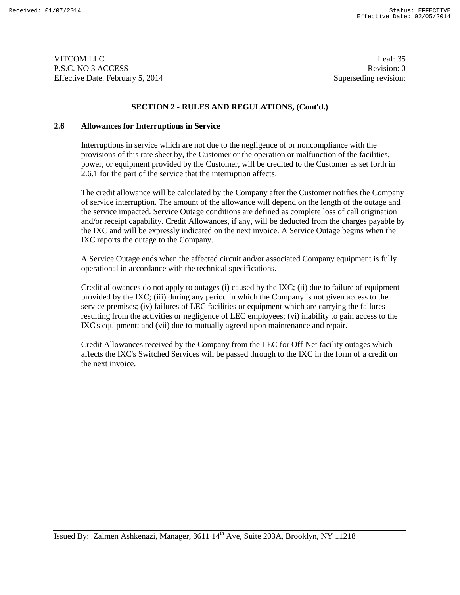VITCOM LLC. Leaf: 35 P.S.C. NO 3 ACCESS Revision: 0 Effective Date: February 5, 2014 Superseding revision:

### **SECTION 2 - RULES AND REGULATIONS, (Cont'd.)**

#### **2.6 Allowances for Interruptions in Service**

Interruptions in service which are not due to the negligence of or noncompliance with the provisions of this rate sheet by, the Customer or the operation or malfunction of the facilities, power, or equipment provided by the Customer, will be credited to the Customer as set forth in 2.6.1 for the part of the service that the interruption affects.

The credit allowance will be calculated by the Company after the Customer notifies the Company of service interruption. The amount of the allowance will depend on the length of the outage and the service impacted. Service Outage conditions are defined as complete loss of call origination and/or receipt capability. Credit Allowances, if any, will be deducted from the charges payable by the IXC and will be expressly indicated on the next invoice. A Service Outage begins when the IXC reports the outage to the Company.

A Service Outage ends when the affected circuit and/or associated Company equipment is fully operational in accordance with the technical specifications.

Credit allowances do not apply to outages (i) caused by the IXC; (ii) due to failure of equipment provided by the IXC; (iii) during any period in which the Company is not given access to the service premises; (iv) failures of LEC facilities or equipment which are carrying the failures resulting from the activities or negligence of LEC employees; (vi) inability to gain access to the IXC's equipment; and (vii) due to mutually agreed upon maintenance and repair.

Credit Allowances received by the Company from the LEC for Off-Net facility outages which affects the IXC's Switched Services will be passed through to the IXC in the form of a credit on the next invoice.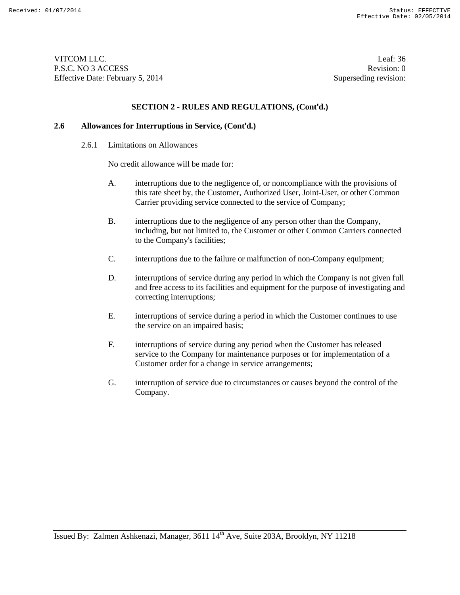VITCOM LLC. Leaf: 36 P.S.C. NO 3 ACCESS Revision: 0 Effective Date: February 5, 2014 Superseding revision:

### **SECTION 2 - RULES AND REGULATIONS, (Cont'd.)**

# **2.6 Allowances for Interruptions in Service, (Cont'd.)**

# 2.6.1 Limitations on Allowances

No credit allowance will be made for:

- A. interruptions due to the negligence of, or noncompliance with the provisions of this rate sheet by, the Customer, Authorized User, Joint-User, or other Common Carrier providing service connected to the service of Company;
- B. interruptions due to the negligence of any person other than the Company, including, but not limited to, the Customer or other Common Carriers connected to the Company's facilities;
- C. interruptions due to the failure or malfunction of non-Company equipment;
- D. interruptions of service during any period in which the Company is not given full and free access to its facilities and equipment for the purpose of investigating and correcting interruptions;
- E. interruptions of service during a period in which the Customer continues to use the service on an impaired basis;
- F. interruptions of service during any period when the Customer has released service to the Company for maintenance purposes or for implementation of a Customer order for a change in service arrangements;
- G. interruption of service due to circumstances or causes beyond the control of the Company.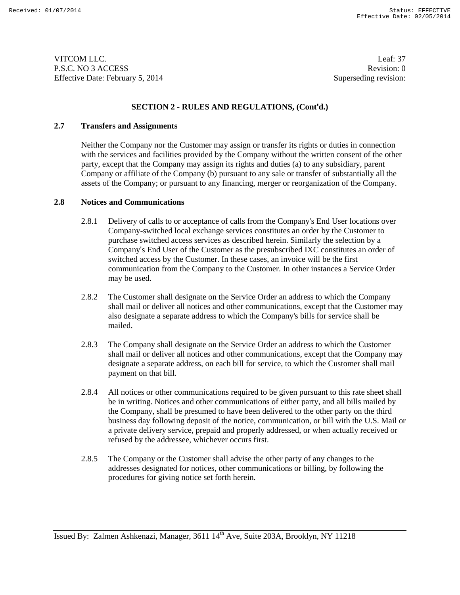VITCOM LLC. Leaf: 37 P.S.C. NO 3 ACCESS Revision: 0 Effective Date: February 5, 2014 Superseding revision:

# **SECTION 2 - RULES AND REGULATIONS, (Cont'd.)**

### **2.7 Transfers and Assignments**

Neither the Company nor the Customer may assign or transfer its rights or duties in connection with the services and facilities provided by the Company without the written consent of the other party, except that the Company may assign its rights and duties (a) to any subsidiary, parent Company or affiliate of the Company (b) pursuant to any sale or transfer of substantially all the assets of the Company; or pursuant to any financing, merger or reorganization of the Company.

# **2.8 Notices and Communications**

- 2.8.1 Delivery of calls to or acceptance of calls from the Company's End User locations over Company-switched local exchange services constitutes an order by the Customer to purchase switched access services as described herein. Similarly the selection by a Company's End User of the Customer as the presubscribed IXC constitutes an order of switched access by the Customer. In these cases, an invoice will be the first communication from the Company to the Customer. In other instances a Service Order may be used.
- 2.8.2 The Customer shall designate on the Service Order an address to which the Company shall mail or deliver all notices and other communications, except that the Customer may also designate a separate address to which the Company's bills for service shall be mailed.
- 2.8.3 The Company shall designate on the Service Order an address to which the Customer shall mail or deliver all notices and other communications, except that the Company may designate a separate address, on each bill for service, to which the Customer shall mail payment on that bill.
- 2.8.4 All notices or other communications required to be given pursuant to this rate sheet shall be in writing. Notices and other communications of either party, and all bills mailed by the Company, shall be presumed to have been delivered to the other party on the third business day following deposit of the notice, communication, or bill with the U.S. Mail or a private delivery service, prepaid and properly addressed, or when actually received or refused by the addressee, whichever occurs first.
- 2.8.5 The Company or the Customer shall advise the other party of any changes to the addresses designated for notices, other communications or billing, by following the procedures for giving notice set forth herein.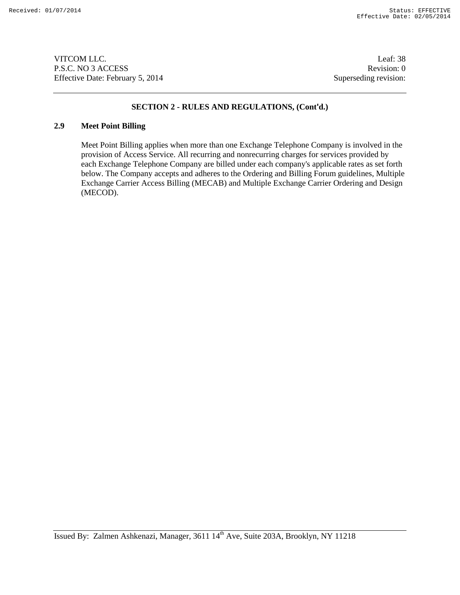VITCOM LLC. Leaf: 38 P.S.C. NO 3 ACCESS Revision: 0 Effective Date: February 5, 2014 Superseding revision:

# **SECTION 2 - RULES AND REGULATIONS, (Cont'd.)**

# **2.9 Meet Point Billing**

Meet Point Billing applies when more than one Exchange Telephone Company is involved in the provision of Access Service. All recurring and nonrecurring charges for services provided by each Exchange Telephone Company are billed under each company's applicable rates as set forth below. The Company accepts and adheres to the Ordering and Billing Forum guidelines, Multiple Exchange Carrier Access Billing (MECAB) and Multiple Exchange Carrier Ordering and Design (MECOD).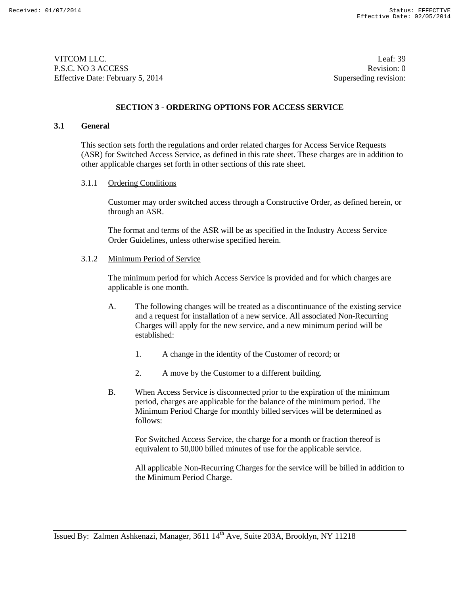VITCOM LLC. Leaf: 39 P.S.C. NO 3 ACCESS Revision: 0 Effective Date: February 5, 2014 Superseding revision:

#### **SECTION 3 - ORDERING OPTIONS FOR ACCESS SERVICE**

#### **3.1 General**

This section sets forth the regulations and order related charges for Access Service Requests (ASR) for Switched Access Service, as defined in this rate sheet. These charges are in addition to other applicable charges set forth in other sections of this rate sheet.

#### 3.1.1 Ordering Conditions

Customer may order switched access through a Constructive Order, as defined herein, or through an ASR.

The format and terms of the ASR will be as specified in the Industry Access Service Order Guidelines, unless otherwise specified herein.

#### 3.1.2 Minimum Period of Service

The minimum period for which Access Service is provided and for which charges are applicable is one month.

- A. The following changes will be treated as a discontinuance of the existing service and a request for installation of a new service. All associated Non-Recurring Charges will apply for the new service, and a new minimum period will be established:
	- 1. A change in the identity of the Customer of record; or
	- 2. A move by the Customer to a different building.
- B. When Access Service is disconnected prior to the expiration of the minimum period, charges are applicable for the balance of the minimum period. The Minimum Period Charge for monthly billed services will be determined as follows:

For Switched Access Service, the charge for a month or fraction thereof is equivalent to 50,000 billed minutes of use for the applicable service.

All applicable Non-Recurring Charges for the service will be billed in addition to the Minimum Period Charge.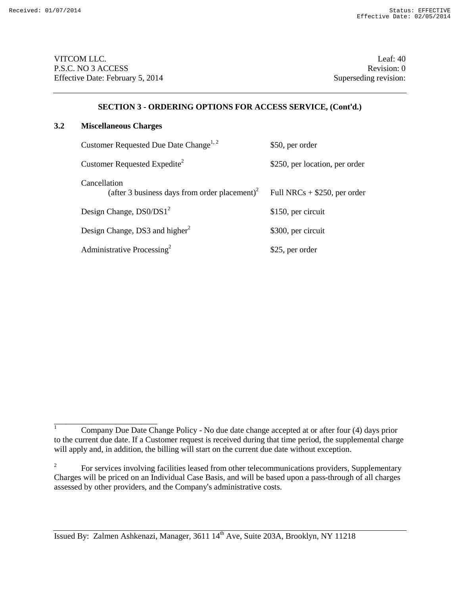VITCOM LLC. Leaf: 40 P.S.C. NO 3 ACCESS Revision: 0 Effective Date: February 5, 2014 Superseding revision:

# **SECTION 3 - ORDERING OPTIONS FOR ACCESS SERVICE, (Cont'd.)**

### **3.2 Miscellaneous Charges**

\_\_\_\_\_\_\_\_\_\_\_\_\_\_\_\_\_\_\_\_\_\_\_\_\_

| Customer Requested Due Date Change <sup>1, 2</sup>                        | \$50, per order                |
|---------------------------------------------------------------------------|--------------------------------|
| Customer Requested Expedite <sup>2</sup>                                  | \$250, per location, per order |
| Cancellation<br>(after 3 business days from order placement) <sup>2</sup> | Full NRCs $+$ \$250, per order |
| Design Change, DS0/DS1 <sup>2</sup>                                       | \$150, per circuit             |
| Design Change, DS3 and higher <sup>2</sup>                                | \$300, per circuit             |
| Administrative Processing <sup>2</sup>                                    | \$25, per order                |

 $\frac{1}{1}$  Company Due Date Change Policy - No due date change accepted at or after four (4) days prior to the current due date. If a Customer request is received during that time period, the supplemental charge will apply and, in addition, the billing will start on the current due date without exception.

<sup>&</sup>lt;sup>2</sup> For services involving facilities leased from other telecommunications providers, Supplementary Charges will be priced on an Individual Case Basis, and will be based upon a pass-through of all charges assessed by other providers, and the Company's administrative costs.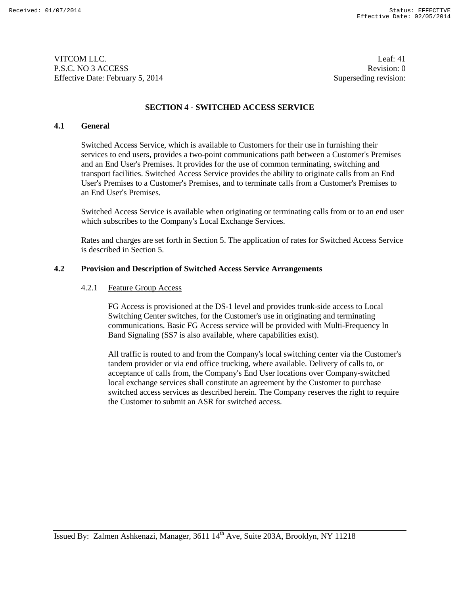VITCOM LLC. Leaf: 41 P.S.C. NO 3 ACCESS Revision: 0 Effective Date: February 5, 2014 Superseding revision:

# **SECTION 4 - SWITCHED ACCESS SERVICE**

### **4.1 General**

Switched Access Service, which is available to Customers for their use in furnishing their services to end users, provides a two-point communications path between a Customer's Premises and an End User's Premises. It provides for the use of common terminating, switching and transport facilities. Switched Access Service provides the ability to originate calls from an End User's Premises to a Customer's Premises, and to terminate calls from a Customer's Premises to an End User's Premises.

Switched Access Service is available when originating or terminating calls from or to an end user which subscribes to the Company's Local Exchange Services.

Rates and charges are set forth in Section 5. The application of rates for Switched Access Service is described in Section 5.

#### **4.2 Provision and Description of Switched Access Service Arrangements**

#### 4.2.1 Feature Group Access

FG Access is provisioned at the DS-1 level and provides trunk-side access to Local Switching Center switches, for the Customer's use in originating and terminating communications. Basic FG Access service will be provided with Multi-Frequency In Band Signaling (SS7 is also available, where capabilities exist).

All traffic is routed to and from the Company's local switching center via the Customer's tandem provider or via end office trucking, where available. Delivery of calls to, or acceptance of calls from, the Company's End User locations over Company-switched local exchange services shall constitute an agreement by the Customer to purchase switched access services as described herein. The Company reserves the right to require the Customer to submit an ASR for switched access.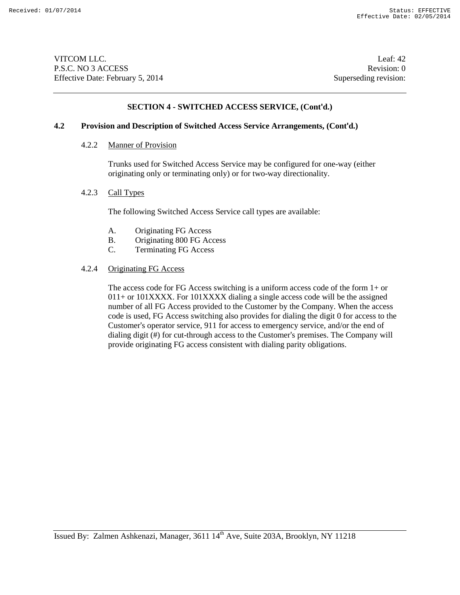VITCOM LLC. Leaf: 42 P.S.C. NO 3 ACCESS Revision: 0 Effective Date: February 5, 2014 Superseding revision:

# **SECTION 4 - SWITCHED ACCESS SERVICE, (Cont'd.)**

#### **4.2 Provision and Description of Switched Access Service Arrangements, (Cont'd.)**

#### 4.2.2 Manner of Provision

Trunks used for Switched Access Service may be configured for one-way (either originating only or terminating only) or for two-way directionality.

#### 4.2.3 Call Types

The following Switched Access Service call types are available:

- A. Originating FG Access
- B. Originating 800 FG Access
- C. Terminating FG Access

#### 4.2.4 Originating FG Access

The access code for FG Access switching is a uniform access code of the form 1+ or 011+ or 101XXXX. For 101XXXX dialing a single access code will be the assigned number of all FG Access provided to the Customer by the Company. When the access code is used, FG Access switching also provides for dialing the digit 0 for access to the Customer's operator service, 911 for access to emergency service, and/or the end of dialing digit (#) for cut-through access to the Customer's premises. The Company will provide originating FG access consistent with dialing parity obligations.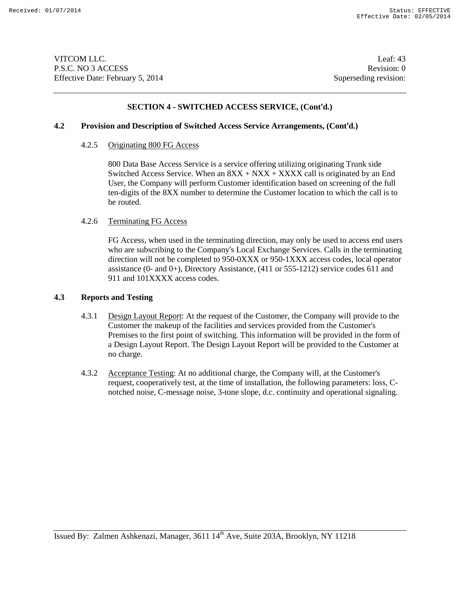VITCOM LLC. Leaf: 43 P.S.C. NO 3 ACCESS Revision: 0 Effective Date: February 5, 2014 Superseding revision:

# **SECTION 4 - SWITCHED ACCESS SERVICE, (Cont'd.)**

#### **4.2 Provision and Description of Switched Access Service Arrangements, (Cont'd.)**

#### 4.2.5 Originating 800 FG Access

800 Data Base Access Service is a service offering utilizing originating Trunk side Switched Access Service. When an  $8XX + NXX + XXXX$  call is originated by an End User, the Company will perform Customer identification based on screening of the full ten-digits of the 8XX number to determine the Customer location to which the call is to be routed.

#### 4.2.6 Terminating FG Access

FG Access, when used in the terminating direction, may only be used to access end users who are subscribing to the Company's Local Exchange Services. Calls in the terminating direction will not be completed to 950-0XXX or 950-1XXX access codes, local operator assistance (0- and 0+), Directory Assistance, (411 or 555-1212) service codes 611 and 911 and 101XXXX access codes.

### **4.3 Reports and Testing**

- 4.3.1 Design Layout Report: At the request of the Customer, the Company will provide to the Customer the makeup of the facilities and services provided from the Customer's Premises to the first point of switching. This information will be provided in the form of a Design Layout Report. The Design Layout Report will be provided to the Customer at no charge.
- 4.3.2 Acceptance Testing: At no additional charge, the Company will, at the Customer's request, cooperatively test, at the time of installation, the following parameters: loss, Cnotched noise, C-message noise, 3-tone slope, d.c. continuity and operational signaling.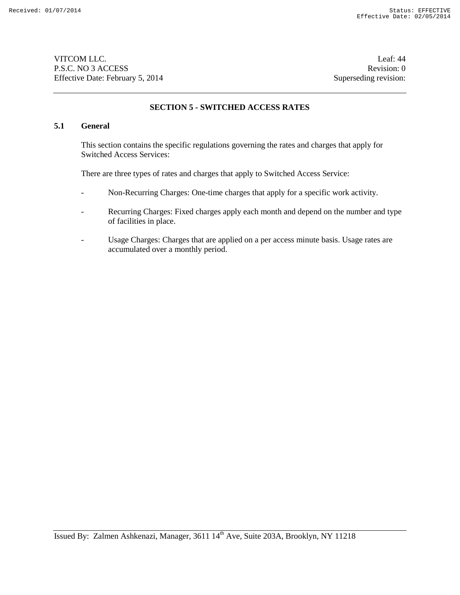VITCOM LLC. Leaf: 44 P.S.C. NO 3 ACCESS Revision: 0 Effective Date: February 5, 2014 Superseding revision:

# **SECTION 5 - SWITCHED ACCESS RATES**

# **5.1 General**

This section contains the specific regulations governing the rates and charges that apply for Switched Access Services:

There are three types of rates and charges that apply to Switched Access Service:

- Non-Recurring Charges: One-time charges that apply for a specific work activity.
- Recurring Charges: Fixed charges apply each month and depend on the number and type of facilities in place.
- Usage Charges: Charges that are applied on a per access minute basis. Usage rates are accumulated over a monthly period.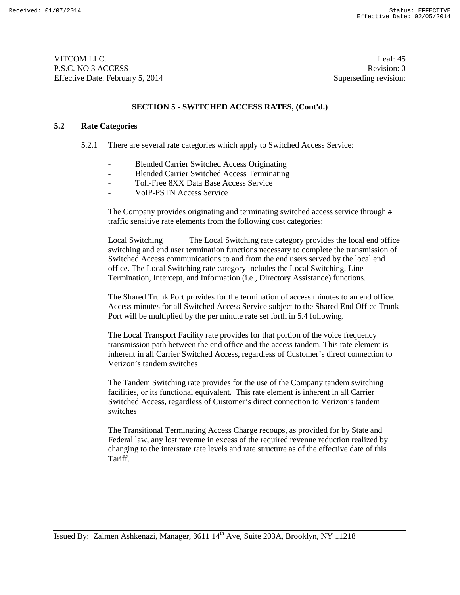VITCOM LLC. Leaf: 45 P.S.C. NO 3 ACCESS Revision: 0 Effective Date: February 5, 2014 Superseding revision:

# **SECTION 5 - SWITCHED ACCESS RATES, (Cont'd.)**

#### **5.2 Rate Categories**

- 5.2.1 There are several rate categories which apply to Switched Access Service:
	- Blended Carrier Switched Access Originating
	- Blended Carrier Switched Access Terminating
	- Toll-Free 8XX Data Base Access Service
	- VoIP-PSTN Access Service

The Company provides originating and terminating switched access service through a traffic sensitive rate elements from the following cost categories:

Local Switching The Local Switching rate category provides the local end office switching and end user termination functions necessary to complete the transmission of Switched Access communications to and from the end users served by the local end office. The Local Switching rate category includes the Local Switching, Line Termination, Intercept, and Information (i.e., Directory Assistance) functions.

The Shared Trunk Port provides for the termination of access minutes to an end office. Access minutes for all Switched Access Service subject to the Shared End Office Trunk Port will be multiplied by the per minute rate set forth in 5.4 following.

The Local Transport Facility rate provides for that portion of the voice frequency transmission path between the end office and the access tandem. This rate element is inherent in all Carrier Switched Access, regardless of Customer's direct connection to Verizon's tandem switches

The Tandem Switching rate provides for the use of the Company tandem switching facilities, or its functional equivalent. This rate element is inherent in all Carrier Switched Access, regardless of Customer's direct connection to Verizon's tandem switches

The Transitional Terminating Access Charge recoups, as provided for by State and Federal law, any lost revenue in excess of the required revenue reduction realized by changing to the interstate rate levels and rate structure as of the effective date of this Tariff.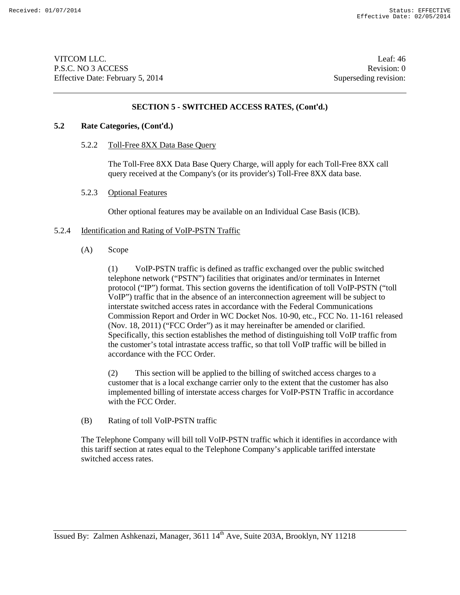VITCOM LLC. Leaf: 46 P.S.C. NO 3 ACCESS Revision: 0 Effective Date: February 5, 2014 Superseding revision:

### **SECTION 5 - SWITCHED ACCESS RATES, (Cont'd.)**

### **5.2 Rate Categories, (Cont'd.)**

5.2.2 Toll-Free 8XX Data Base Query

The Toll-Free 8XX Data Base Query Charge, will apply for each Toll-Free 8XX call query received at the Company's (or its provider's) Toll-Free 8XX data base.

5.2.3 Optional Features

Other optional features may be available on an Individual Case Basis (ICB).

#### 5.2.4 Identification and Rating of VoIP-PSTN Traffic

(A) Scope

(1) VoIP-PSTN traffic is defined as traffic exchanged over the public switched telephone network ("PSTN") facilities that originates and/or terminates in Internet protocol ("IP") format. This section governs the identification of toll VoIP-PSTN ("toll VoIP") traffic that in the absence of an interconnection agreement will be subject to interstate switched access rates in accordance with the Federal Communications Commission Report and Order in WC Docket Nos. 10-90, etc., FCC No. 11-161 released (Nov. 18, 2011) ("FCC Order") as it may hereinafter be amended or clarified. Specifically, this section establishes the method of distinguishing toll VoIP traffic from the customer's total intrastate access traffic, so that toll VoIP traffic will be billed in accordance with the FCC Order.

(2) This section will be applied to the billing of switched access charges to a customer that is a local exchange carrier only to the extent that the customer has also implemented billing of interstate access charges for VoIP-PSTN Traffic in accordance with the FCC Order.

(B) Rating of toll VoIP-PSTN traffic

The Telephone Company will bill toll VoIP-PSTN traffic which it identifies in accordance with this tariff section at rates equal to the Telephone Company's applicable tariffed interstate switched access rates.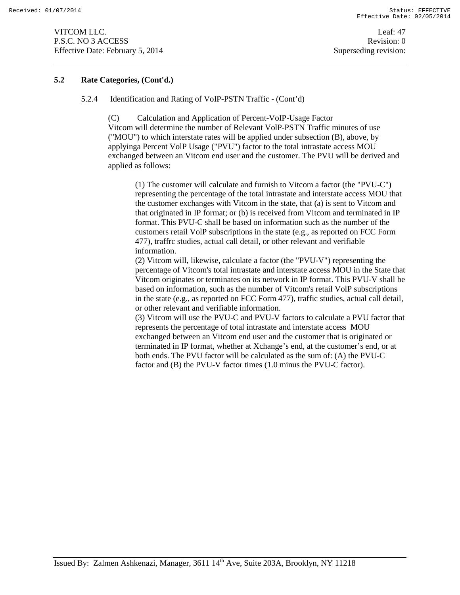VITCOM LLC. Leaf: 47 P.S.C. NO 3 ACCESS Revision: 0 Effective Date: February 5, 2014 Superseding revision:

# **5.2 Rate Categories, (Cont'd.)**

#### 5.2.4 Identification and Rating of VoIP-PSTN Traffic - (Cont'd)

(C) Calculation and Application of Percent-VoIP-Usage Factor

Vitcom will determine the number of Relevant VolP-PSTN Traffic minutes of use ("MOU") to which interstate rates will be applied under subsection (B), above, by applyinga Percent VolP Usage ("PVU") factor to the total intrastate access MOU exchanged between an Vitcom end user and the customer. The PVU will be derived and applied as follows:

(1) The customer will calculate and furnish to Vitcom a factor (the "PVU-C") representing the percentage of the total intrastate and interstate access MOU that the customer exchanges with Vitcom in the state, that (a) is sent to Vitcom and that originated in IP format; or (b) is received from Vitcom and terminated in IP format. This PVU-C shall be based on information such as the number of the customers retail VolP subscriptions in the state (e.g., as reported on FCC Form 477), traffrc studies, actual call detail, or other relevant and verifiable information.

(2) Vitcom will, likewise, calculate a factor (the "PVU-V") representing the percentage of Vitcom's total intrastate and interstate access MOU in the State that Vitcom originates or terminates on its network in IP format. This PVU-V shall be based on information, such as the number of Vitcom's retail VolP subscriptions in the state (e.g., as reported on FCC Form 477), traffic studies, actual call detail, or other relevant and verifiable information.

(3) Vitcom will use the PVU-C and PVU-V factors to calculate a PVU factor that represents the percentage of total intrastate and interstate access MOU exchanged between an Vitcom end user and the customer that is originated or terminated in IP format, whether at Xchange's end, at the customer's end, or at both ends. The PVU factor will be calculated as the sum of: (A) the PVU-C factor and (B) the PVU-V factor times (1.0 minus the PVU-C factor).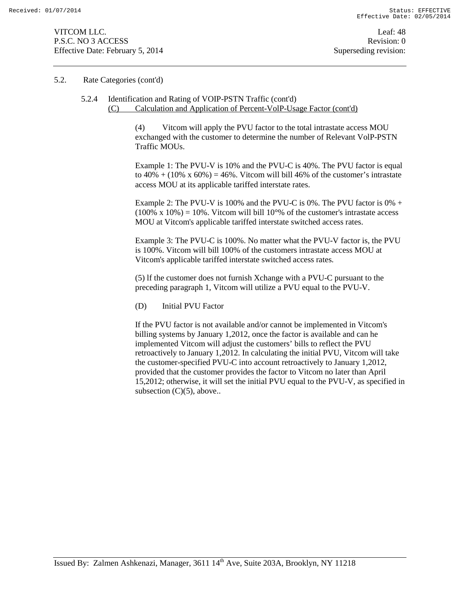#### 5.2. Rate Categories (cont'd)

# 5.2.4 Identification and Rating of VOIP-PSTN Traffic (cont'd) (C) Calculation and Application of Percent-VolP-Usage Factor (cont'd)

(4) Vitcom will apply the PVU factor to the total intrastate access MOU exchanged with the customer to determine the number of Relevant VolP-PSTN Traffic MOUs.

Example 1: The PVU-V is 10% and the PVU-C is 40%. The PVU factor is equal to  $40\% + (10\% \times 60\%) = 46\%$ . Vitcom will bill 46% of the customer's intrastate access MOU at its applicable tariffed interstate rates.

Example 2: The PVU-V is 100% and the PVU-C is 0%. The PVU factor is 0%  $+$  $(100\% \times 10\%) = 10\%$ . Vitcom will bill 10°% of the customer's intrastate access MOU at Vitcom's applicable tariffed interstate switched access rates.

Example 3: The PVU-C is 100%. No matter what the PVU-V factor is, the PVU is 100%. Vitcom will bill 100% of the customers intrastate access MOU at Vitcom's applicable tariffed interstate switched access rates.

(5) lf the customer does not furnish Xchange with a PVU-C pursuant to the preceding paragraph 1, Vitcom will utilize a PVU equal to the PVU-V.

(D) Initial PVU Factor

If the PVU factor is not available and/or cannot be implemented in Vitcom's billing systems by January 1,2012, once the factor is available and can he implemented Vitcom will adjust the customers' bills to reflect the PVU retroactively to January 1,2012. In calculating the initial PVU, Vitcom will take the customer-specified PVU-C into account retroactively to January 1,2012, provided that the customer provides the factor to Vitcom no later than April 15,2012; otherwise, it will set the initial PVU equal to the PVU-V, as specified in subsection  $(C)(5)$ , above..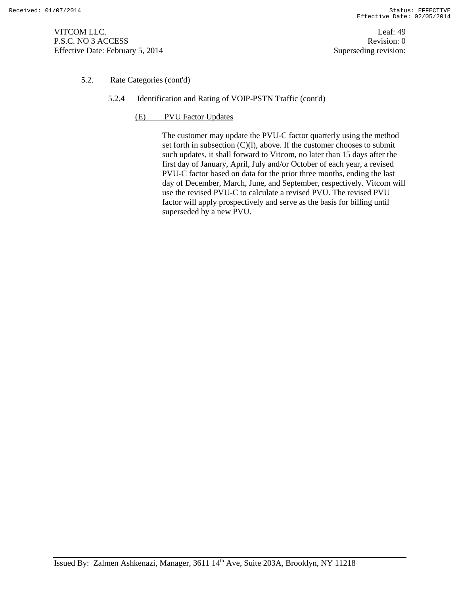VITCOM LLC. Leaf: 49 P.S.C. NO 3 ACCESS Revision: 0 Effective Date: February 5, 2014 Superseding revision:

# 5.2. Rate Categories (cont'd)

- 5.2.4 Identification and Rating of VOIP-PSTN Traffic (cont'd)
	- (E) PVU Factor Updates

The customer may update the PVU-C factor quarterly using the method set forth in subsection (C)(l), above. If the customer chooses to submit such updates, it shall forward to Vitcom, no later than 15 days after the first day of January, April, July and/or October of each year, a revised PVU-C factor based on data for the prior three months, ending the last day of December, March, June, and September, respectively. Vitcom will use the revised PVU-C to calculate a revised PVU. The revised PVU factor will apply prospectively and serve as the basis for billing until superseded by a new PVU.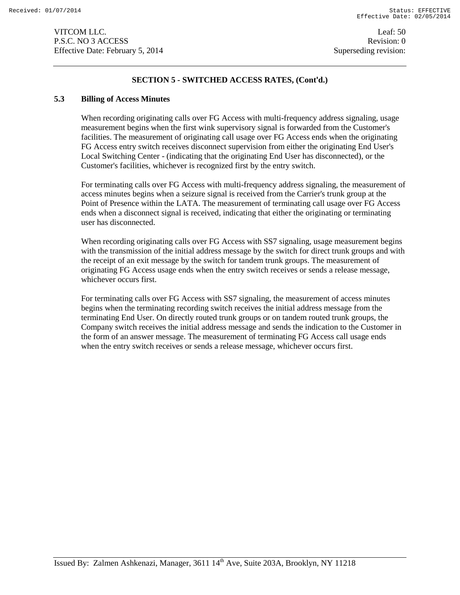# **SECTION 5 - SWITCHED ACCESS RATES, (Cont'd.)**

#### **5.3 Billing of Access Minutes**

When recording originating calls over FG Access with multi-frequency address signaling, usage measurement begins when the first wink supervisory signal is forwarded from the Customer's facilities. The measurement of originating call usage over FG Access ends when the originating FG Access entry switch receives disconnect supervision from either the originating End User's Local Switching Center - (indicating that the originating End User has disconnected), or the Customer's facilities, whichever is recognized first by the entry switch.

For terminating calls over FG Access with multi-frequency address signaling, the measurement of access minutes begins when a seizure signal is received from the Carrier's trunk group at the Point of Presence within the LATA. The measurement of terminating call usage over FG Access ends when a disconnect signal is received, indicating that either the originating or terminating user has disconnected.

When recording originating calls over FG Access with SS7 signaling, usage measurement begins with the transmission of the initial address message by the switch for direct trunk groups and with the receipt of an exit message by the switch for tandem trunk groups. The measurement of originating FG Access usage ends when the entry switch receives or sends a release message, whichever occurs first.

For terminating calls over FG Access with SS7 signaling, the measurement of access minutes begins when the terminating recording switch receives the initial address message from the terminating End User. On directly routed trunk groups or on tandem routed trunk groups, the Company switch receives the initial address message and sends the indication to the Customer in the form of an answer message. The measurement of terminating FG Access call usage ends when the entry switch receives or sends a release message, whichever occurs first.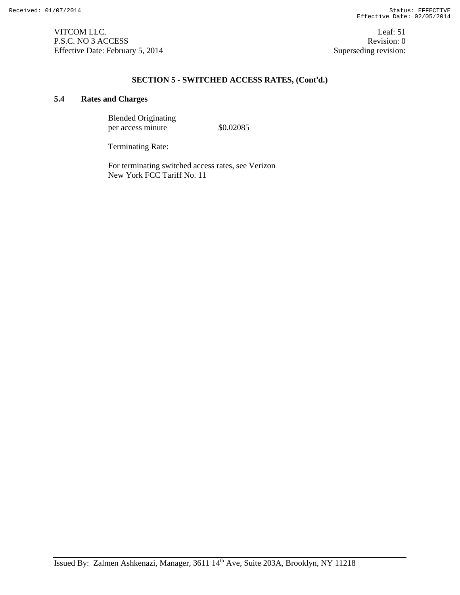# **SECTION 5 - SWITCHED ACCESS RATES, (Cont'd.)**

# **5.4 Rates and Charges**

Blended Originating per access minute  $$0.02085$ 

Terminating Rate:

For terminating switched access rates, see Verizon New York FCC Tariff No. 11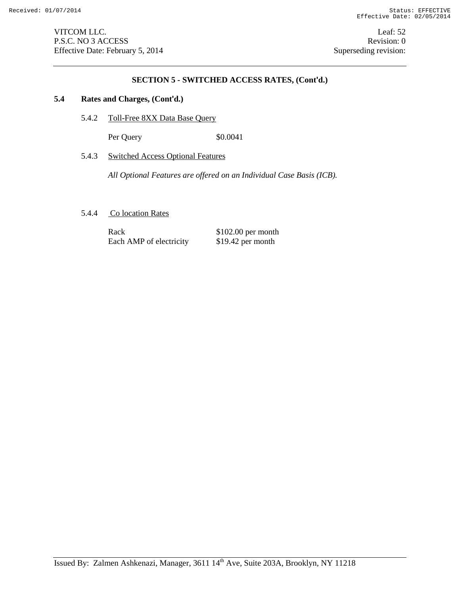# **SECTION 5 - SWITCHED ACCESS RATES, (Cont'd.)**

# **5.4 Rates and Charges, (Cont'd.)**

5.4.2 Toll-Free 8XX Data Base Query

Per Query \$0.0041

# 5.4.3 Switched Access Optional Features

*All Optional Features are offered on an Individual Case Basis (ICB).*

5.4.4 Co location Rates

Rack \$102.00 per month<br>Each AMP of electricity \$19.42 per month Each AMP of electricity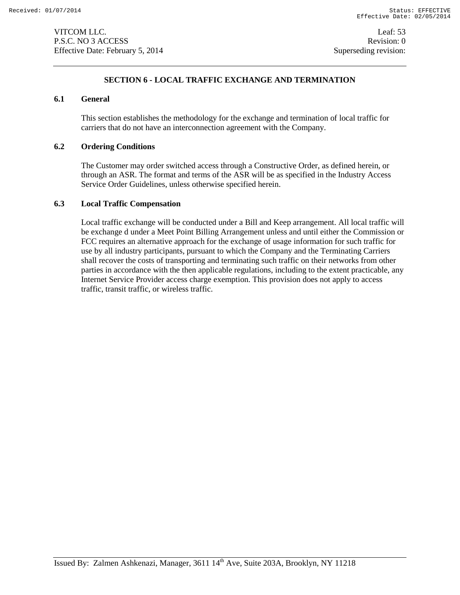# **SECTION 6 - LOCAL TRAFFIC EXCHANGE AND TERMINATION**

# **6.1 General**

This section establishes the methodology for the exchange and termination of local traffic for carriers that do not have an interconnection agreement with the Company.

# **6.2 Ordering Conditions**

The Customer may order switched access through a Constructive Order, as defined herein, or through an ASR. The format and terms of the ASR will be as specified in the Industry Access Service Order Guidelines, unless otherwise specified herein.

### **6.3 Local Traffic Compensation**

Local traffic exchange will be conducted under a Bill and Keep arrangement. All local traffic will be exchange d under a Meet Point Billing Arrangement unless and until either the Commission or FCC requires an alternative approach for the exchange of usage information for such traffic for use by all industry participants, pursuant to which the Company and the Terminating Carriers shall recover the costs of transporting and terminating such traffic on their networks from other parties in accordance with the then applicable regulations, including to the extent practicable, any Internet Service Provider access charge exemption. This provision does not apply to access traffic, transit traffic, or wireless traffic.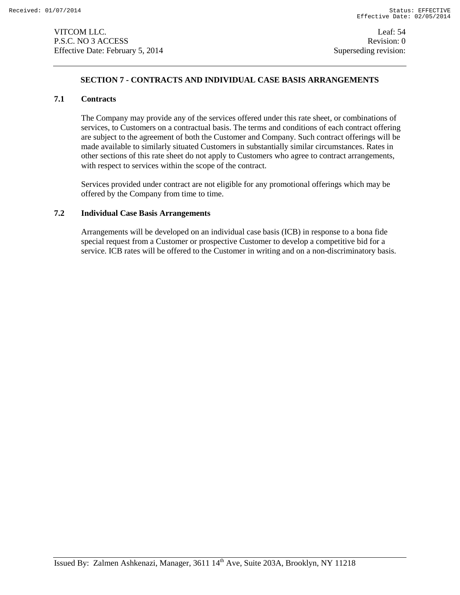VITCOM LLC. Leaf: 54 P.S.C. NO 3 ACCESS Revision: 0 Effective Date: February 5, 2014 Superseding revision:

# **SECTION 7 - CONTRACTS AND INDIVIDUAL CASE BASIS ARRANGEMENTS**

# **7.1 Contracts**

The Company may provide any of the services offered under this rate sheet, or combinations of services, to Customers on a contractual basis. The terms and conditions of each contract offering are subject to the agreement of both the Customer and Company. Such contract offerings will be made available to similarly situated Customers in substantially similar circumstances. Rates in other sections of this rate sheet do not apply to Customers who agree to contract arrangements, with respect to services within the scope of the contract.

Services provided under contract are not eligible for any promotional offerings which may be offered by the Company from time to time.

# **7.2 Individual Case Basis Arrangements**

Arrangements will be developed on an individual case basis (ICB) in response to a bona fide special request from a Customer or prospective Customer to develop a competitive bid for a service. ICB rates will be offered to the Customer in writing and on a non-discriminatory basis.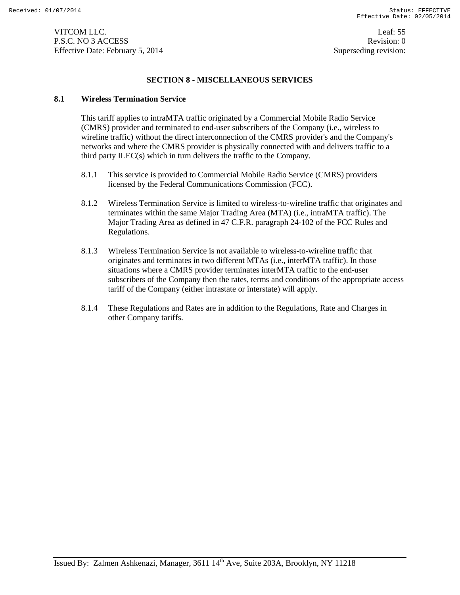# **SECTION 8 - MISCELLANEOUS SERVICES**

#### **8.1 Wireless Termination Service**

This tariff applies to intraMTA traffic originated by a Commercial Mobile Radio Service (CMRS) provider and terminated to end-user subscribers of the Company (i.e., wireless to wireline traffic) without the direct interconnection of the CMRS provider's and the Company's networks and where the CMRS provider is physically connected with and delivers traffic to a third party ILEC(s) which in turn delivers the traffic to the Company.

- 8.1.1 This service is provided to Commercial Mobile Radio Service (CMRS) providers licensed by the Federal Communications Commission (FCC).
- 8.1.2 Wireless Termination Service is limited to wireless-to-wireline traffic that originates and terminates within the same Major Trading Area (MTA) (i.e., intraMTA traffic). The Major Trading Area as defined in 47 C.F.R. paragraph 24-102 of the FCC Rules and Regulations.
- 8.1.3 Wireless Termination Service is not available to wireless-to-wireline traffic that originates and terminates in two different MTAs (i.e., interMTA traffic). In those situations where a CMRS provider terminates interMTA traffic to the end-user subscribers of the Company then the rates, terms and conditions of the appropriate access tariff of the Company (either intrastate or interstate) will apply.
- 8.1.4 These Regulations and Rates are in addition to the Regulations, Rate and Charges in other Company tariffs.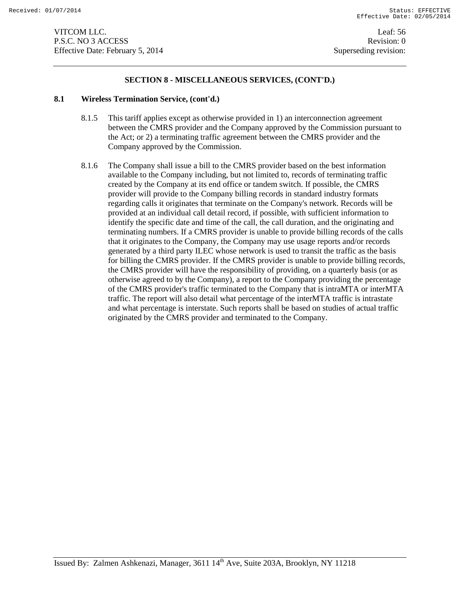### **SECTION 8 - MISCELLANEOUS SERVICES, (CONT'D.)**

#### **8.1 Wireless Termination Service, (cont'd.)**

- 8.1.5 This tariff applies except as otherwise provided in 1) an interconnection agreement between the CMRS provider and the Company approved by the Commission pursuant to the Act; or 2) a terminating traffic agreement between the CMRS provider and the Company approved by the Commission.
- 8.1.6 The Company shall issue a bill to the CMRS provider based on the best information available to the Company including, but not limited to, records of terminating traffic created by the Company at its end office or tandem switch. If possible, the CMRS provider will provide to the Company billing records in standard industry formats regarding calls it originates that terminate on the Company's network. Records will be provided at an individual call detail record, if possible, with sufficient information to identify the specific date and time of the call, the call duration, and the originating and terminating numbers. If a CMRS provider is unable to provide billing records of the calls that it originates to the Company, the Company may use usage reports and/or records generated by a third party ILEC whose network is used to transit the traffic as the basis for billing the CMRS provider. If the CMRS provider is unable to provide billing records, the CMRS provider will have the responsibility of providing, on a quarterly basis (or as otherwise agreed to by the Company), a report to the Company providing the percentage of the CMRS provider's traffic terminated to the Company that is intraMTA or interMTA traffic. The report will also detail what percentage of the interMTA traffic is intrastate and what percentage is interstate. Such reports shall be based on studies of actual traffic originated by the CMRS provider and terminated to the Company.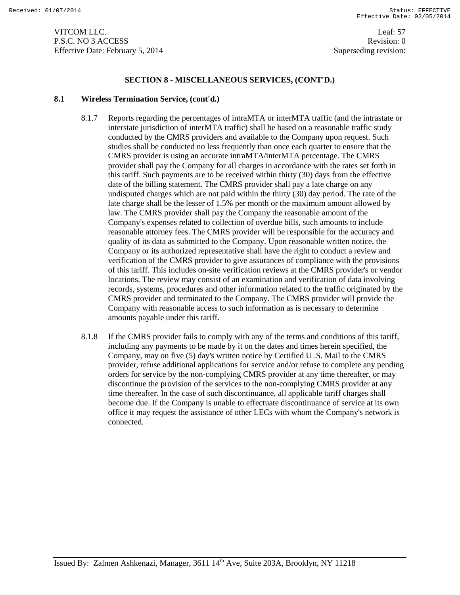### **SECTION 8 - MISCELLANEOUS SERVICES, (CONT'D.)**

#### **8.1 Wireless Termination Service, (cont'd.)**

- 8.1.7 Reports regarding the percentages of intraMTA or interMTA traffic (and the intrastate or interstate jurisdiction of interMTA traffic) shall be based on a reasonable traffic study conducted by the CMRS providers and available to the Company upon request. Such studies shall be conducted no less frequently than once each quarter to ensure that the CMRS provider is using an accurate intraMTA/interMTA percentage. The CMRS provider shall pay the Company for all charges in accordance with the rates set forth in this tariff. Such payments are to be received within thirty (30) days from the effective date of the billing statement. The CMRS provider shall pay a late charge on any undisputed charges which are not paid within the thirty (30) day period. The rate of the late charge shall be the lesser of 1.5% per month or the maximum amount allowed by law. The CMRS provider shall pay the Company the reasonable amount of the Company's expenses related to collection of overdue bills, such amounts to include reasonable attorney fees. The CMRS provider will be responsible for the accuracy and quality of its data as submitted to the Company. Upon reasonable written notice, the Company or its authorized representative shall have the right to conduct a review and verification of the CMRS provider to give assurances of compliance with the provisions of this tariff. This includes on-site verification reviews at the CMRS provider's or vendor locations. The review may consist of an examination and verification of data involving records, systems, procedures and other information related to the traffic originated by the CMRS provider and terminated to the Company. The CMRS provider will provide the Company with reasonable access to such information as is necessary to determine amounts payable under this tariff.
- 8.1.8 If the CMRS provider fails to comply with any of the terms and conditions of this tariff, including any payments to be made by it on the dates and times herein specified, the Company, may on five (5) day's written notice by Certified U .S. Mail to the CMRS provider, refuse additional applications for service and/or refuse to complete any pending orders for service by the non-complying CMRS provider at any time thereafter, or may discontinue the provision of the services to the non-complying CMRS provider at any time thereafter. In the case of such discontinuance, all applicable tariff charges shall become due. If the Company is unable to effectuate discontinuance of service at its own office it may request the assistance of other LECs with whom the Company's network is connected.